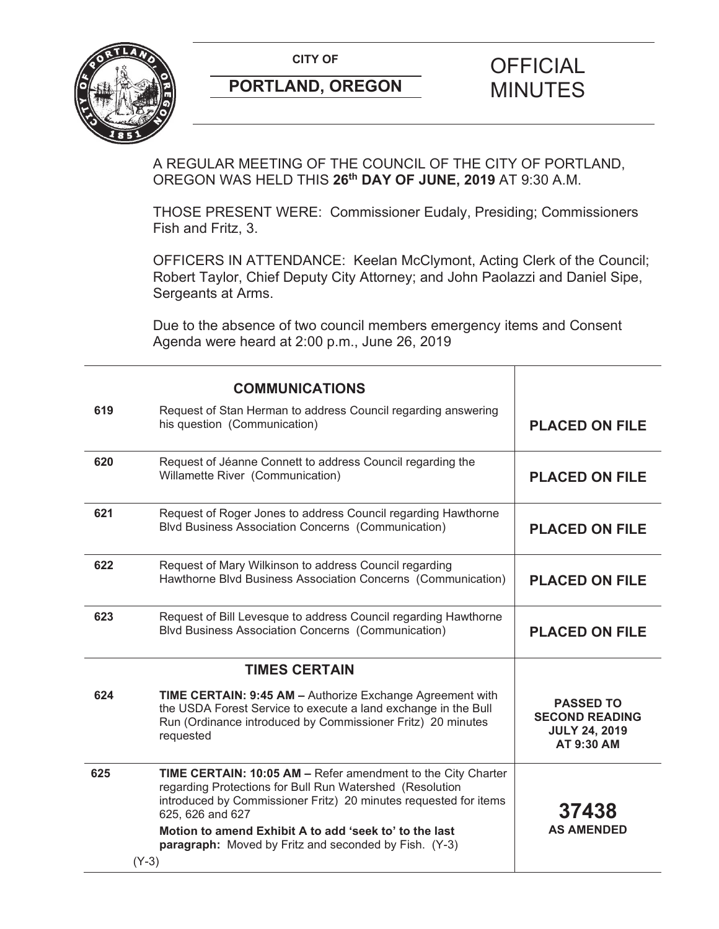**CITY OF CITY OF PICIAL** 



## **PORTLAND, OREGON MINUTES**

## A REGULAR MEETING OF THE COUNCIL OF THE CITY OF PORTLAND, OREGON WAS HELD THIS **26th DAY OF JUNE, 2019** AT 9:30 A.M.

THOSE PRESENT WERE: Commissioner Eudaly, Presiding; Commissioners Fish and Fritz, 3.

OFFICERS IN ATTENDANCE: Keelan McClymont, Acting Clerk of the Council; Robert Taylor, Chief Deputy City Attorney; and John Paolazzi and Daniel Sipe, Sergeants at Arms.

Due to the absence of two council members emergency items and Consent Agenda were heard at 2:00 p.m., June 26, 2019

|     | <b>COMMUNICATIONS</b>                                                                                                                                                                                                   |                                                                                 |
|-----|-------------------------------------------------------------------------------------------------------------------------------------------------------------------------------------------------------------------------|---------------------------------------------------------------------------------|
| 619 | Request of Stan Herman to address Council regarding answering<br>his question (Communication)                                                                                                                           | <b>PLACED ON FILE</b>                                                           |
| 620 | Request of Jéanne Connett to address Council regarding the<br>Willamette River (Communication)                                                                                                                          | <b>PLACED ON FILE</b>                                                           |
| 621 | Request of Roger Jones to address Council regarding Hawthorne<br><b>Blvd Business Association Concerns (Communication)</b>                                                                                              | <b>PLACED ON FILE</b>                                                           |
| 622 | Request of Mary Wilkinson to address Council regarding<br>Hawthorne Blvd Business Association Concerns (Communication)                                                                                                  | <b>PLACED ON FILE</b>                                                           |
| 623 | Request of Bill Levesque to address Council regarding Hawthorne<br><b>Blvd Business Association Concerns (Communication)</b>                                                                                            | <b>PLACED ON FILE</b>                                                           |
|     | <b>TIMES CERTAIN</b>                                                                                                                                                                                                    |                                                                                 |
| 624 | <b>TIME CERTAIN: 9:45 AM - Authorize Exchange Agreement with</b><br>the USDA Forest Service to execute a land exchange in the Bull<br>Run (Ordinance introduced by Commissioner Fritz) 20 minutes<br>requested          | <b>PASSED TO</b><br><b>SECOND READING</b><br><b>JULY 24, 2019</b><br>AT 9:30 AM |
| 625 | <b>TIME CERTAIN: 10:05 AM - Refer amendment to the City Charter</b><br>regarding Protections for Bull Run Watershed (Resolution<br>introduced by Commissioner Fritz) 20 minutes requested for items<br>625, 626 and 627 | 37438                                                                           |
|     | Motion to amend Exhibit A to add 'seek to' to the last<br>paragraph: Moved by Fritz and seconded by Fish. (Y-3)<br>$(Y-3)$                                                                                              | <b>AS AMENDED</b>                                                               |
|     |                                                                                                                                                                                                                         |                                                                                 |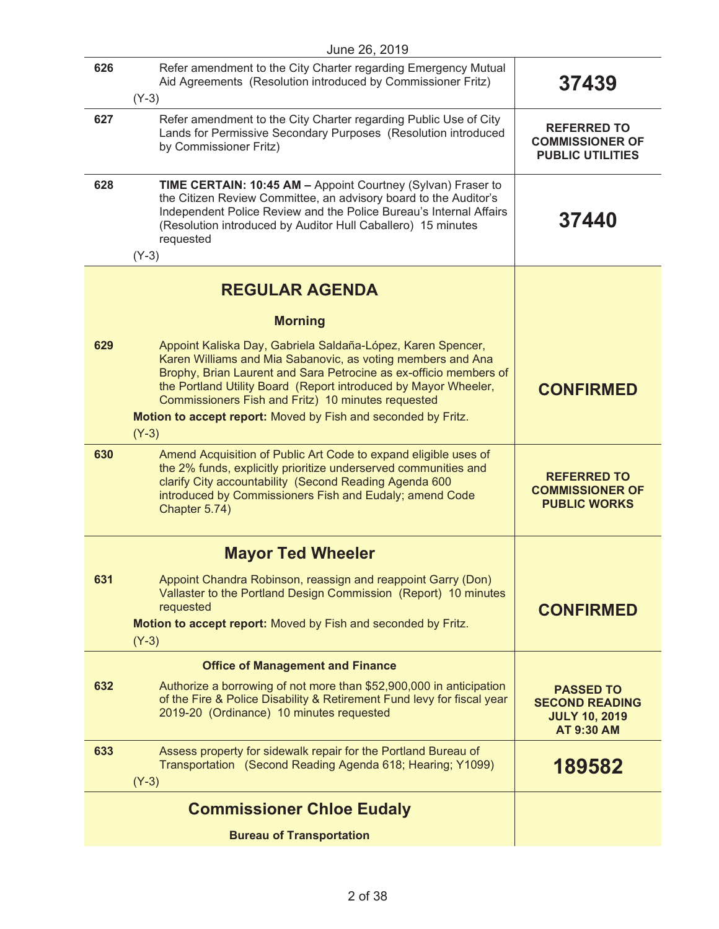| June 26, 2019 |                                                                                                                                                                                                                                                                                                                                                                                                      |                                                                                        |
|---------------|------------------------------------------------------------------------------------------------------------------------------------------------------------------------------------------------------------------------------------------------------------------------------------------------------------------------------------------------------------------------------------------------------|----------------------------------------------------------------------------------------|
| 626           | Refer amendment to the City Charter regarding Emergency Mutual<br>Aid Agreements (Resolution introduced by Commissioner Fritz)                                                                                                                                                                                                                                                                       | 37439                                                                                  |
| 627           | $(Y-3)$<br>Refer amendment to the City Charter regarding Public Use of City<br>Lands for Permissive Secondary Purposes (Resolution introduced<br>by Commissioner Fritz)                                                                                                                                                                                                                              | <b>REFERRED TO</b><br><b>COMMISSIONER OF</b><br><b>PUBLIC UTILITIES</b>                |
| 628           | TIME CERTAIN: 10:45 AM - Appoint Courtney (Sylvan) Fraser to<br>the Citizen Review Committee, an advisory board to the Auditor's<br>Independent Police Review and the Police Bureau's Internal Affairs<br>(Resolution introduced by Auditor Hull Caballero) 15 minutes<br>requested<br>$(Y-3)$                                                                                                       | 37440                                                                                  |
|               | <b>REGULAR AGENDA</b>                                                                                                                                                                                                                                                                                                                                                                                |                                                                                        |
|               | <b>Morning</b>                                                                                                                                                                                                                                                                                                                                                                                       |                                                                                        |
| 629           | Appoint Kaliska Day, Gabriela Saldaña-López, Karen Spencer,<br>Karen Williams and Mia Sabanovic, as voting members and Ana<br>Brophy, Brian Laurent and Sara Petrocine as ex-officio members of<br>the Portland Utility Board (Report introduced by Mayor Wheeler,<br>Commissioners Fish and Fritz) 10 minutes requested<br>Motion to accept report: Moved by Fish and seconded by Fritz.<br>$(Y-3)$ | <b>CONFIRMED</b>                                                                       |
| 630           | Amend Acquisition of Public Art Code to expand eligible uses of<br>the 2% funds, explicitly prioritize underserved communities and<br>clarify City accountability (Second Reading Agenda 600<br>introduced by Commissioners Fish and Eudaly; amend Code<br>Chapter 5.74)                                                                                                                             | <b>REFERRED TO</b><br><b>COMMISSIONER OF</b><br><b>PUBLIC WORKS</b>                    |
|               | <b>Mayor Ted Wheeler</b>                                                                                                                                                                                                                                                                                                                                                                             |                                                                                        |
| 631           | Appoint Chandra Robinson, reassign and reappoint Garry (Don)<br>Vallaster to the Portland Design Commission (Report) 10 minutes<br>requested<br>Motion to accept report: Moved by Fish and seconded by Fritz.<br>$(Y-3)$                                                                                                                                                                             | <b>CONFIRMED</b>                                                                       |
|               | <b>Office of Management and Finance</b>                                                                                                                                                                                                                                                                                                                                                              |                                                                                        |
| 632           | Authorize a borrowing of not more than \$52,900,000 in anticipation<br>of the Fire & Police Disability & Retirement Fund levy for fiscal year<br>2019-20 (Ordinance) 10 minutes requested                                                                                                                                                                                                            | <b>PASSED TO</b><br><b>SECOND READING</b><br><b>JULY 10, 2019</b><br><b>AT 9:30 AM</b> |
| 633           | Assess property for sidewalk repair for the Portland Bureau of<br>Transportation (Second Reading Agenda 618; Hearing; Y1099)<br>$(Y-3)$                                                                                                                                                                                                                                                              | 189582                                                                                 |
|               | <b>Commissioner Chloe Eudaly</b>                                                                                                                                                                                                                                                                                                                                                                     |                                                                                        |
|               | <b>Bureau of Transportation</b>                                                                                                                                                                                                                                                                                                                                                                      |                                                                                        |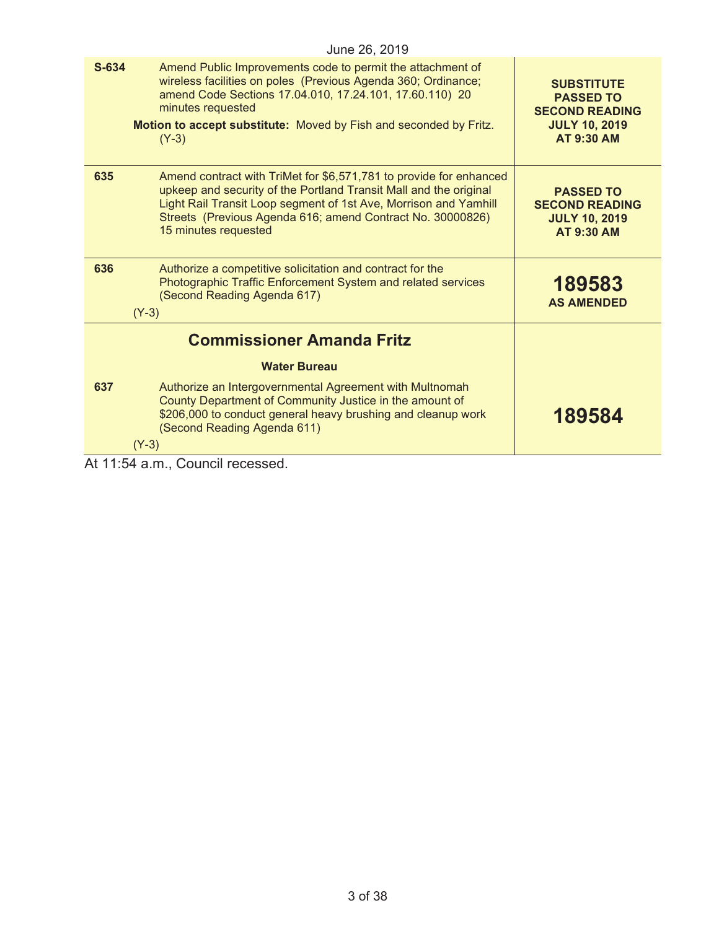| June 26, 2019                                                                                                                                                                                                                                                                                            |                                                                                                             |  |  |  |
|----------------------------------------------------------------------------------------------------------------------------------------------------------------------------------------------------------------------------------------------------------------------------------------------------------|-------------------------------------------------------------------------------------------------------------|--|--|--|
| S-634<br>Amend Public Improvements code to permit the attachment of<br>wireless facilities on poles (Previous Agenda 360; Ordinance;<br>amend Code Sections 17.04.010, 17.24.101, 17.60.110) 20<br>minutes requested<br>Motion to accept substitute: Moved by Fish and seconded by Fritz.<br>$(Y-3)$     | <b>SUBSTITUTE</b><br><b>PASSED TO</b><br><b>SECOND READING</b><br><b>JULY 10, 2019</b><br><b>AT 9:30 AM</b> |  |  |  |
| 635<br>Amend contract with TriMet for \$6,571,781 to provide for enhanced<br>upkeep and security of the Portland Transit Mall and the original<br>Light Rail Transit Loop segment of 1st Ave, Morrison and Yamhill<br>Streets (Previous Agenda 616; amend Contract No. 30000826)<br>15 minutes requested | <b>PASSED TO</b><br><b>SECOND READING</b><br><b>JULY 10, 2019</b><br><b>AT 9:30 AM</b>                      |  |  |  |
| 636<br>Authorize a competitive solicitation and contract for the<br>Photographic Traffic Enforcement System and related services<br>(Second Reading Agenda 617)<br>$(Y-3)$                                                                                                                               | 189583<br><b>AS AMENDED</b>                                                                                 |  |  |  |
| <b>Commissioner Amanda Fritz</b>                                                                                                                                                                                                                                                                         |                                                                                                             |  |  |  |
| <b>Water Bureau</b>                                                                                                                                                                                                                                                                                      |                                                                                                             |  |  |  |
| 637<br>Authorize an Intergovernmental Agreement with Multnomah<br>County Department of Community Justice in the amount of<br>\$206,000 to conduct general heavy brushing and cleanup work<br>(Second Reading Agenda 611)<br>$(Y-3)$                                                                      | 189584                                                                                                      |  |  |  |
| At 11:54 a.m., Council recessed.                                                                                                                                                                                                                                                                         |                                                                                                             |  |  |  |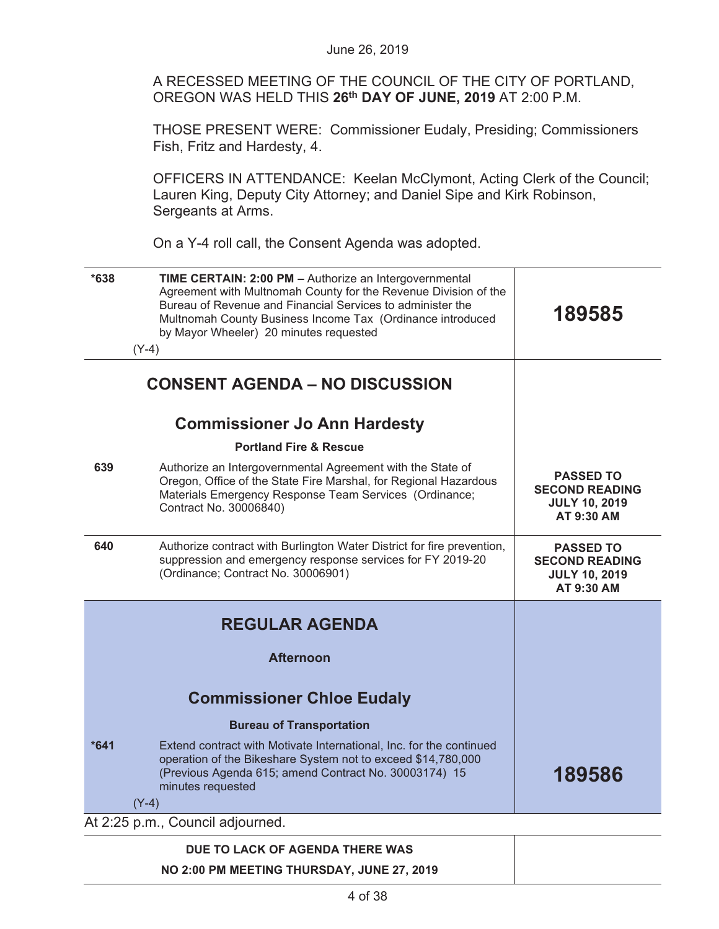A RECESSED MEETING OF THE COUNCIL OF THE CITY OF PORTLAND, OREGON WAS HELD THIS **26th DAY OF JUNE, 2019** AT 2:00 P.M.

THOSE PRESENT WERE: Commissioner Eudaly, Presiding; Commissioners Fish, Fritz and Hardesty, 4.

OFFICERS IN ATTENDANCE: Keelan McClymont, Acting Clerk of the Council; Lauren King, Deputy City Attorney; and Daniel Sipe and Kirk Robinson, Sergeants at Arms.

On a Y-4 roll call, the Consent Agenda was adopted.

| $*638$ | TIME CERTAIN: 2:00 PM - Authorize an Intergovernmental<br>Agreement with Multnomah County for the Revenue Division of the<br>Bureau of Revenue and Financial Services to administer the<br>Multnomah County Business Income Tax (Ordinance introduced<br>by Mayor Wheeler) 20 minutes requested<br>$(Y-4)$ | 189585                                                                          |
|--------|------------------------------------------------------------------------------------------------------------------------------------------------------------------------------------------------------------------------------------------------------------------------------------------------------------|---------------------------------------------------------------------------------|
|        | <b>CONSENT AGENDA - NO DISCUSSION</b>                                                                                                                                                                                                                                                                      |                                                                                 |
|        | <b>Commissioner Jo Ann Hardesty</b>                                                                                                                                                                                                                                                                        |                                                                                 |
|        | <b>Portland Fire &amp; Rescue</b>                                                                                                                                                                                                                                                                          |                                                                                 |
| 639    | Authorize an Intergovernmental Agreement with the State of<br>Oregon, Office of the State Fire Marshal, for Regional Hazardous<br>Materials Emergency Response Team Services (Ordinance;<br>Contract No. 30006840)                                                                                         | <b>PASSED TO</b><br><b>SECOND READING</b><br><b>JULY 10, 2019</b><br>AT 9:30 AM |
| 640    | Authorize contract with Burlington Water District for fire prevention,<br>suppression and emergency response services for FY 2019-20<br>(Ordinance; Contract No. 30006901)                                                                                                                                 | <b>PASSED TO</b><br><b>SECOND READING</b><br><b>JULY 10, 2019</b><br>AT 9:30 AM |
|        | <b>REGULAR AGENDA</b><br><b>Afternoon</b>                                                                                                                                                                                                                                                                  |                                                                                 |
|        |                                                                                                                                                                                                                                                                                                            |                                                                                 |
|        | <b>Commissioner Chloe Eudaly</b>                                                                                                                                                                                                                                                                           |                                                                                 |
|        | <b>Bureau of Transportation</b>                                                                                                                                                                                                                                                                            |                                                                                 |
| $*641$ | Extend contract with Motivate International, Inc. for the continued<br>operation of the Bikeshare System not to exceed \$14,780,000<br>(Previous Agenda 615; amend Contract No. 30003174) 15<br>minutes requested                                                                                          | 189586                                                                          |
|        | $(Y-4)$                                                                                                                                                                                                                                                                                                    |                                                                                 |
|        | At 2:25 p.m., Council adjourned.                                                                                                                                                                                                                                                                           |                                                                                 |

# **DUE TO LACK OF AGENDA THERE WAS NO 2:00 PM MEETING THURSDAY, JUNE 27, 2019**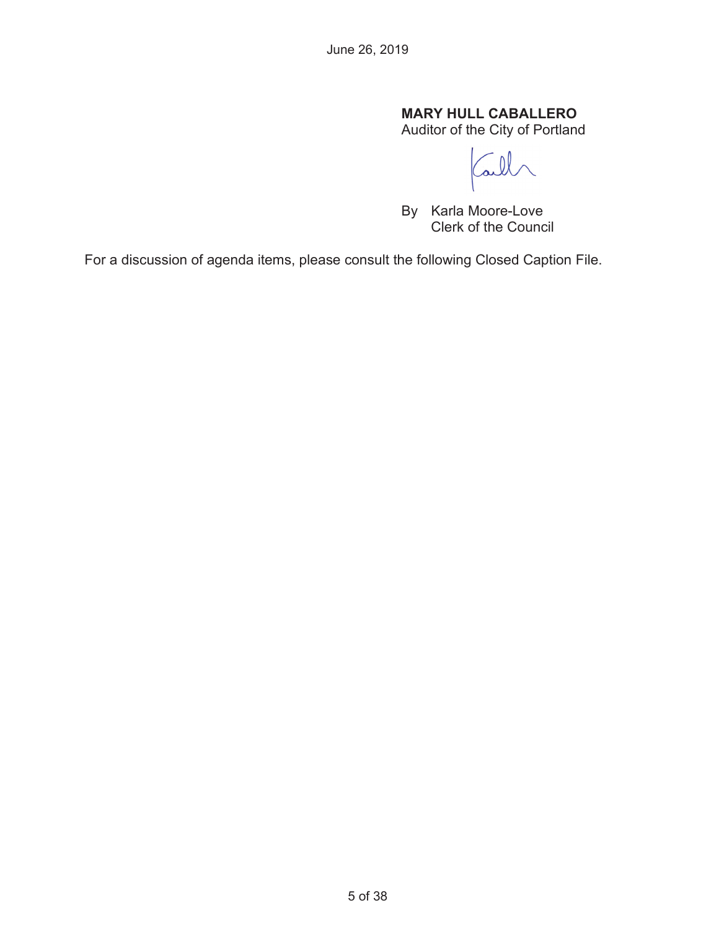## **MARY HULL CABALLERO**

Auditor of the City of Portland

Call

By Karla Moore-Love Clerk of the Council

For a discussion of agenda items, please consult the following Closed Caption File.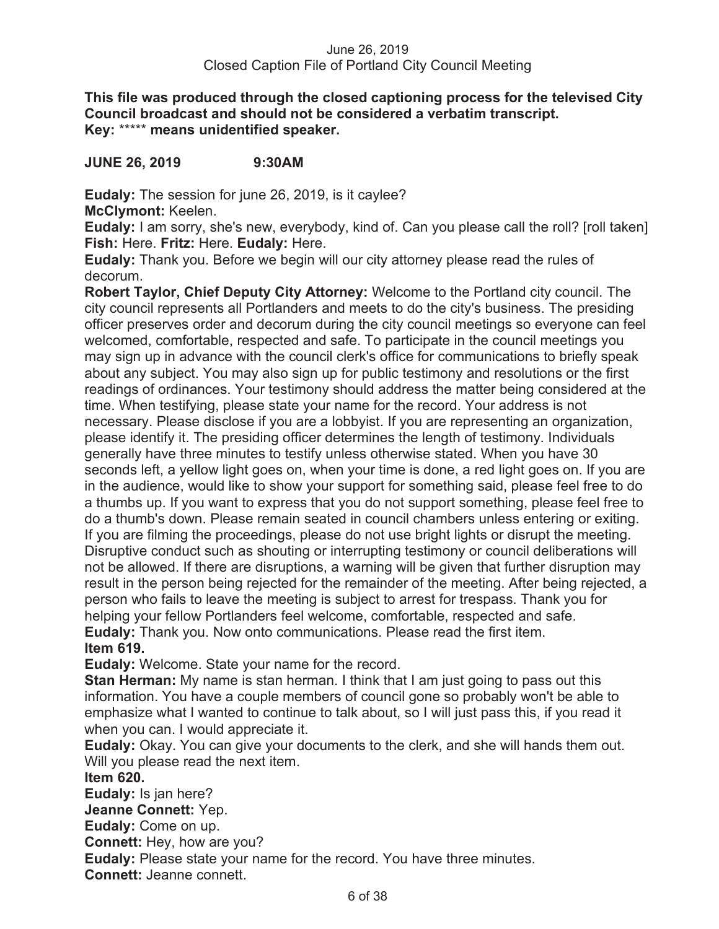**This file was produced through the closed captioning process for the televised City Council broadcast and should not be considered a verbatim transcript. Key:** \*\*\*\*\* **means unidentified speaker.** 

**JUNE 26, 2019 9:30AM** 

**Eudaly:** The session for june 26, 2019, is it caylee? **McClymont:** Keelen.

**Eudaly:** I am sorry, she's new, everybody, kind of. Can you please call the roll? [roll taken] **Fish:** Here. **Fritz:** Here. **Eudaly:** Here.

**Eudaly:** Thank you. Before we begin will our city attorney please read the rules of decorum.

**Robert Taylor, Chief Deputy City Attorney:** Welcome to the Portland city council. The city council represents all Portlanders and meets to do the city's business. The presiding officer preserves order and decorum during the city council meetings so everyone can feel welcomed, comfortable, respected and safe. To participate in the council meetings you may sign up in advance with the council clerk's office for communications to briefly speak about any subject. You may also sign up for public testimony and resolutions or the first readings of ordinances. Your testimony should address the matter being considered at the time. When testifying, please state your name for the record. Your address is not necessary. Please disclose if you are a lobbyist. If you are representing an organization, please identify it. The presiding officer determines the length of testimony. Individuals generally have three minutes to testify unless otherwise stated. When you have 30 seconds left, a yellow light goes on, when your time is done, a red light goes on. If you are in the audience, would like to show your support for something said, please feel free to do a thumbs up. If you want to express that you do not support something, please feel free to do a thumb's down. Please remain seated in council chambers unless entering or exiting. If you are filming the proceedings, please do not use bright lights or disrupt the meeting. Disruptive conduct such as shouting or interrupting testimony or council deliberations will not be allowed. If there are disruptions, a warning will be given that further disruption may result in the person being rejected for the remainder of the meeting. After being rejected, a person who fails to leave the meeting is subject to arrest for trespass. Thank you for helping your fellow Portlanders feel welcome, comfortable, respected and safe. **Eudaly:** Thank you. Now onto communications. Please read the first item. **Item 619.** 

**Eudaly:** Welcome. State your name for the record.

**Stan Herman:** My name is stan herman. I think that I am just going to pass out this information. You have a couple members of council gone so probably won't be able to emphasize what I wanted to continue to talk about, so I will just pass this, if you read it when you can. I would appreciate it.

**Eudaly:** Okay. You can give your documents to the clerk, and she will hands them out. Will you please read the next item.

**Item 620.** 

**Eudaly:** Is jan here?

**Jeanne Connett:** Yep.

**Eudaly:** Come on up. **Connett:** Hey, how are you?

**Eudaly:** Please state your name for the record. You have three minutes.

**Connett:** Jeanne connett.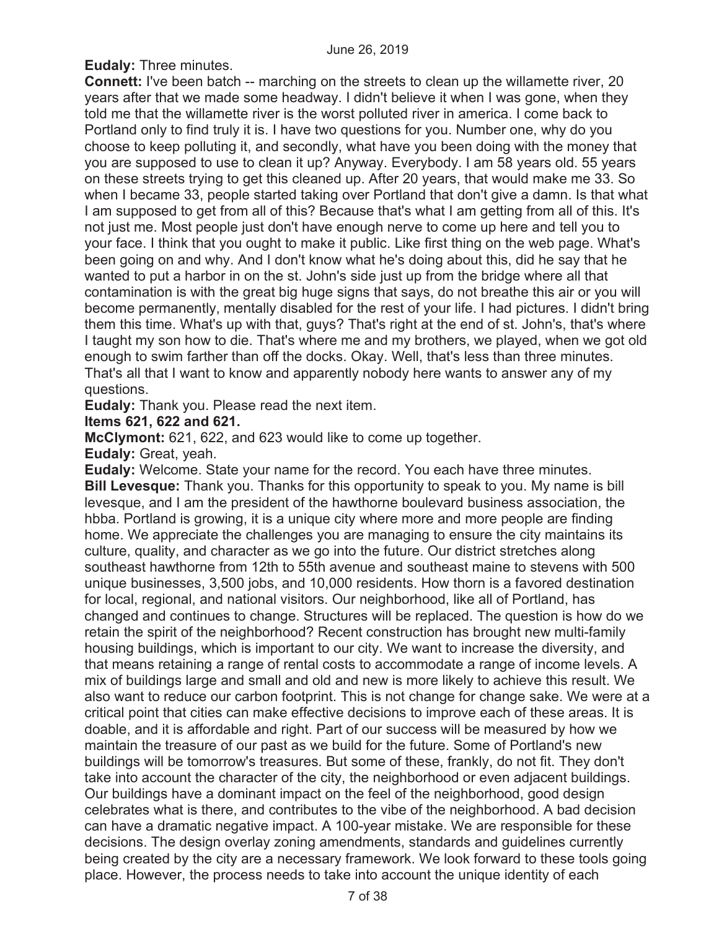**Eudaly:** Three minutes.

**Connett:** I've been batch -- marching on the streets to clean up the willamette river, 20 years after that we made some headway. I didn't believe it when I was gone, when they told me that the willamette river is the worst polluted river in america. I come back to Portland only to find truly it is. I have two questions for you. Number one, why do you choose to keep polluting it, and secondly, what have you been doing with the money that you are supposed to use to clean it up? Anyway. Everybody. I am 58 years old. 55 years on these streets trying to get this cleaned up. After 20 years, that would make me 33. So when I became 33, people started taking over Portland that don't give a damn. Is that what I am supposed to get from all of this? Because that's what I am getting from all of this. It's not just me. Most people just don't have enough nerve to come up here and tell you to your face. I think that you ought to make it public. Like first thing on the web page. What's been going on and why. And I don't know what he's doing about this, did he say that he wanted to put a harbor in on the st. John's side just up from the bridge where all that contamination is with the great big huge signs that says, do not breathe this air or you will become permanently, mentally disabled for the rest of your life. I had pictures. I didn't bring them this time. What's up with that, guys? That's right at the end of st. John's, that's where I taught my son how to die. That's where me and my brothers, we played, when we got old enough to swim farther than off the docks. Okay. Well, that's less than three minutes. That's all that I want to know and apparently nobody here wants to answer any of my questions.

**Eudaly:** Thank you. Please read the next item.

## **Items 621, 622 and 621.**

**McClymont:** 621, 622, and 623 would like to come up together.

**Eudaly:** Great, yeah.

**Eudaly:** Welcome. State your name for the record. You each have three minutes. **Bill Levesque:** Thank you. Thanks for this opportunity to speak to you. My name is bill levesque, and I am the president of the hawthorne boulevard business association, the hbba. Portland is growing, it is a unique city where more and more people are finding home. We appreciate the challenges you are managing to ensure the city maintains its culture, quality, and character as we go into the future. Our district stretches along southeast hawthorne from 12th to 55th avenue and southeast maine to stevens with 500 unique businesses, 3,500 jobs, and 10,000 residents. How thorn is a favored destination for local, regional, and national visitors. Our neighborhood, like all of Portland, has changed and continues to change. Structures will be replaced. The question is how do we retain the spirit of the neighborhood? Recent construction has brought new multi-family housing buildings, which is important to our city. We want to increase the diversity, and that means retaining a range of rental costs to accommodate a range of income levels. A mix of buildings large and small and old and new is more likely to achieve this result. We also want to reduce our carbon footprint. This is not change for change sake. We were at a critical point that cities can make effective decisions to improve each of these areas. It is doable, and it is affordable and right. Part of our success will be measured by how we maintain the treasure of our past as we build for the future. Some of Portland's new buildings will be tomorrow's treasures. But some of these, frankly, do not fit. They don't take into account the character of the city, the neighborhood or even adjacent buildings. Our buildings have a dominant impact on the feel of the neighborhood, good design celebrates what is there, and contributes to the vibe of the neighborhood. A bad decision can have a dramatic negative impact. A 100-year mistake. We are responsible for these decisions. The design overlay zoning amendments, standards and guidelines currently being created by the city are a necessary framework. We look forward to these tools going place. However, the process needs to take into account the unique identity of each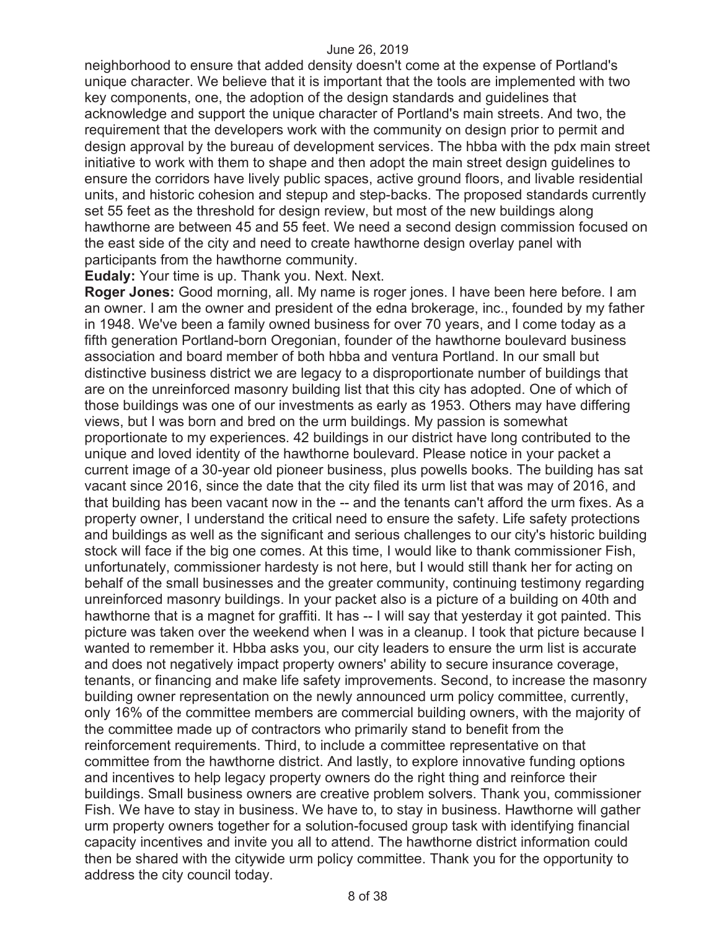neighborhood to ensure that added density doesn't come at the expense of Portland's unique character. We believe that it is important that the tools are implemented with two key components, one, the adoption of the design standards and guidelines that acknowledge and support the unique character of Portland's main streets. And two, the requirement that the developers work with the community on design prior to permit and design approval by the bureau of development services. The hbba with the pdx main street initiative to work with them to shape and then adopt the main street design guidelines to ensure the corridors have lively public spaces, active ground floors, and livable residential units, and historic cohesion and stepup and step-backs. The proposed standards currently set 55 feet as the threshold for design review, but most of the new buildings along hawthorne are between 45 and 55 feet. We need a second design commission focused on the east side of the city and need to create hawthorne design overlay panel with participants from the hawthorne community.

**Eudaly:** Your time is up. Thank you. Next. Next.

**Roger Jones:** Good morning, all. My name is roger jones. I have been here before. I am an owner. I am the owner and president of the edna brokerage, inc., founded by my father in 1948. We've been a family owned business for over 70 years, and I come today as a fifth generation Portland-born Oregonian, founder of the hawthorne boulevard business association and board member of both hbba and ventura Portland. In our small but distinctive business district we are legacy to a disproportionate number of buildings that are on the unreinforced masonry building list that this city has adopted. One of which of those buildings was one of our investments as early as 1953. Others may have differing views, but I was born and bred on the urm buildings. My passion is somewhat proportionate to my experiences. 42 buildings in our district have long contributed to the unique and loved identity of the hawthorne boulevard. Please notice in your packet a current image of a 30-year old pioneer business, plus powells books. The building has sat vacant since 2016, since the date that the city filed its urm list that was may of 2016, and that building has been vacant now in the -- and the tenants can't afford the urm fixes. As a property owner, I understand the critical need to ensure the safety. Life safety protections and buildings as well as the significant and serious challenges to our city's historic building stock will face if the big one comes. At this time, I would like to thank commissioner Fish, unfortunately, commissioner hardesty is not here, but I would still thank her for acting on behalf of the small businesses and the greater community, continuing testimony regarding unreinforced masonry buildings. In your packet also is a picture of a building on 40th and hawthorne that is a magnet for graffiti. It has -- I will say that yesterday it got painted. This picture was taken over the weekend when I was in a cleanup. I took that picture because I wanted to remember it. Hbba asks you, our city leaders to ensure the urm list is accurate and does not negatively impact property owners' ability to secure insurance coverage, tenants, or financing and make life safety improvements. Second, to increase the masonry building owner representation on the newly announced urm policy committee, currently, only 16% of the committee members are commercial building owners, with the majority of the committee made up of contractors who primarily stand to benefit from the reinforcement requirements. Third, to include a committee representative on that committee from the hawthorne district. And lastly, to explore innovative funding options and incentives to help legacy property owners do the right thing and reinforce their buildings. Small business owners are creative problem solvers. Thank you, commissioner Fish. We have to stay in business. We have to, to stay in business. Hawthorne will gather urm property owners together for a solution-focused group task with identifying financial capacity incentives and invite you all to attend. The hawthorne district information could then be shared with the citywide urm policy committee. Thank you for the opportunity to address the city council today.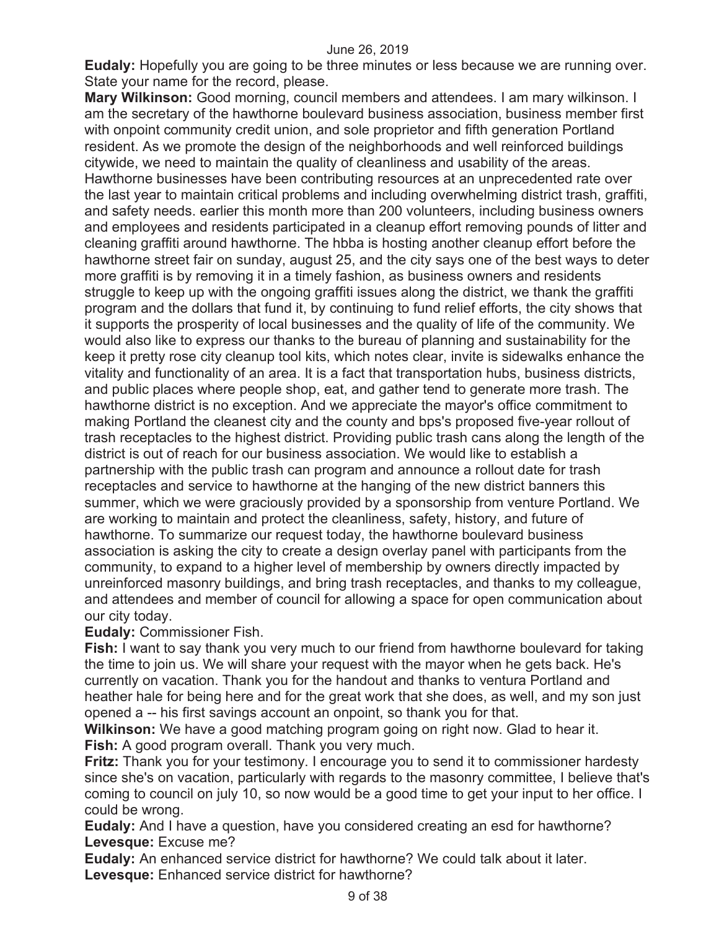**Eudaly:** Hopefully you are going to be three minutes or less because we are running over. State your name for the record, please.

**Mary Wilkinson:** Good morning, council members and attendees. I am mary wilkinson. I am the secretary of the hawthorne boulevard business association, business member first with onpoint community credit union, and sole proprietor and fifth generation Portland resident. As we promote the design of the neighborhoods and well reinforced buildings citywide, we need to maintain the quality of cleanliness and usability of the areas. Hawthorne businesses have been contributing resources at an unprecedented rate over the last year to maintain critical problems and including overwhelming district trash, graffiti, and safety needs. earlier this month more than 200 volunteers, including business owners and employees and residents participated in a cleanup effort removing pounds of litter and cleaning graffiti around hawthorne. The hbba is hosting another cleanup effort before the hawthorne street fair on sunday, august 25, and the city says one of the best ways to deter more graffiti is by removing it in a timely fashion, as business owners and residents struggle to keep up with the ongoing graffiti issues along the district, we thank the graffiti program and the dollars that fund it, by continuing to fund relief efforts, the city shows that it supports the prosperity of local businesses and the quality of life of the community. We would also like to express our thanks to the bureau of planning and sustainability for the keep it pretty rose city cleanup tool kits, which notes clear, invite is sidewalks enhance the vitality and functionality of an area. It is a fact that transportation hubs, business districts, and public places where people shop, eat, and gather tend to generate more trash. The hawthorne district is no exception. And we appreciate the mayor's office commitment to making Portland the cleanest city and the county and bps's proposed five-year rollout of trash receptacles to the highest district. Providing public trash cans along the length of the district is out of reach for our business association. We would like to establish a partnership with the public trash can program and announce a rollout date for trash receptacles and service to hawthorne at the hanging of the new district banners this summer, which we were graciously provided by a sponsorship from venture Portland. We are working to maintain and protect the cleanliness, safety, history, and future of hawthorne. To summarize our request today, the hawthorne boulevard business association is asking the city to create a design overlay panel with participants from the community, to expand to a higher level of membership by owners directly impacted by unreinforced masonry buildings, and bring trash receptacles, and thanks to my colleague, and attendees and member of council for allowing a space for open communication about our city today.

**Eudaly:** Commissioner Fish.

**Fish:** I want to say thank you very much to our friend from hawthorne boulevard for taking the time to join us. We will share your request with the mayor when he gets back. He's currently on vacation. Thank you for the handout and thanks to ventura Portland and heather hale for being here and for the great work that she does, as well, and my son just opened a -- his first savings account an onpoint, so thank you for that.

**Wilkinson:** We have a good matching program going on right now. Glad to hear it. **Fish:** A good program overall. Thank you very much.

**Fritz:** Thank you for your testimony. I encourage you to send it to commissioner hardesty since she's on vacation, particularly with regards to the masonry committee, I believe that's coming to council on july 10, so now would be a good time to get your input to her office. I could be wrong.

**Eudaly:** And I have a question, have you considered creating an esd for hawthorne? **Levesque:** Excuse me?

**Eudaly:** An enhanced service district for hawthorne? We could talk about it later. **Levesque:** Enhanced service district for hawthorne?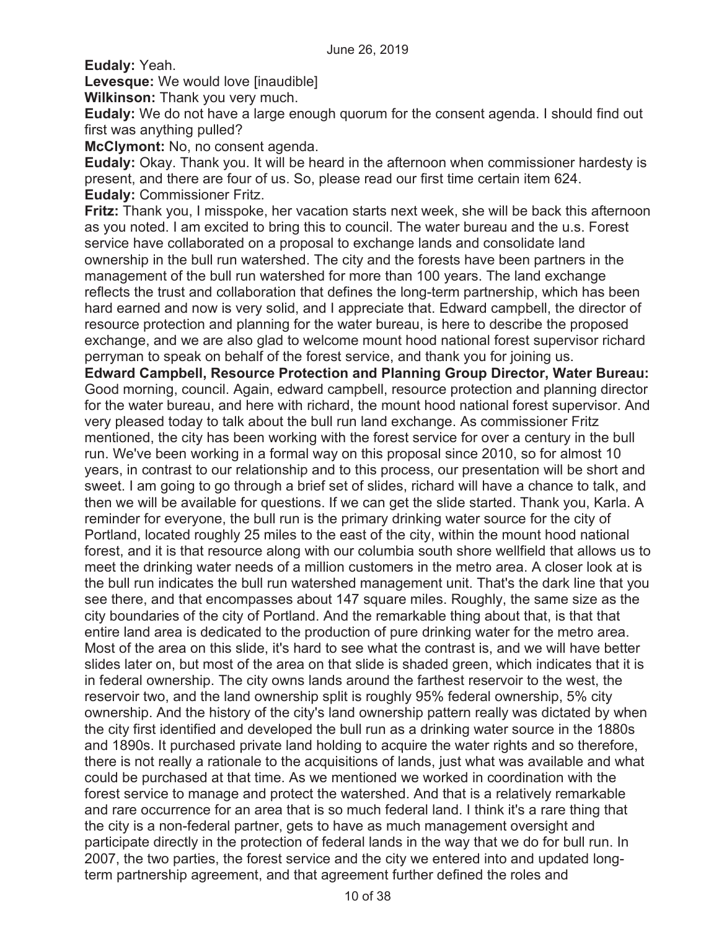**Eudaly:** Yeah.

**Levesque:** We would love [inaudible]

**Wilkinson:** Thank you very much.

**Eudaly:** We do not have a large enough quorum for the consent agenda. I should find out first was anything pulled?

**McClymont:** No, no consent agenda.

**Eudaly:** Okay. Thank you. It will be heard in the afternoon when commissioner hardesty is present, and there are four of us. So, please read our first time certain item 624. **Eudaly:** Commissioner Fritz.

**Fritz:** Thank you, I misspoke, her vacation starts next week, she will be back this afternoon as you noted. I am excited to bring this to council. The water bureau and the u.s. Forest service have collaborated on a proposal to exchange lands and consolidate land ownership in the bull run watershed. The city and the forests have been partners in the management of the bull run watershed for more than 100 years. The land exchange reflects the trust and collaboration that defines the long-term partnership, which has been hard earned and now is very solid, and I appreciate that. Edward campbell, the director of resource protection and planning for the water bureau, is here to describe the proposed exchange, and we are also glad to welcome mount hood national forest supervisor richard perryman to speak on behalf of the forest service, and thank you for joining us.

**Edward Campbell, Resource Protection and Planning Group Director, Water Bureau:**  Good morning, council. Again, edward campbell, resource protection and planning director for the water bureau, and here with richard, the mount hood national forest supervisor. And very pleased today to talk about the bull run land exchange. As commissioner Fritz mentioned, the city has been working with the forest service for over a century in the bull run. We've been working in a formal way on this proposal since 2010, so for almost 10 years, in contrast to our relationship and to this process, our presentation will be short and sweet. I am going to go through a brief set of slides, richard will have a chance to talk, and then we will be available for questions. If we can get the slide started. Thank you, Karla. A reminder for everyone, the bull run is the primary drinking water source for the city of Portland, located roughly 25 miles to the east of the city, within the mount hood national forest, and it is that resource along with our columbia south shore wellfield that allows us to meet the drinking water needs of a million customers in the metro area. A closer look at is the bull run indicates the bull run watershed management unit. That's the dark line that you see there, and that encompasses about 147 square miles. Roughly, the same size as the city boundaries of the city of Portland. And the remarkable thing about that, is that that entire land area is dedicated to the production of pure drinking water for the metro area. Most of the area on this slide, it's hard to see what the contrast is, and we will have better slides later on, but most of the area on that slide is shaded green, which indicates that it is in federal ownership. The city owns lands around the farthest reservoir to the west, the reservoir two, and the land ownership split is roughly 95% federal ownership, 5% city ownership. And the history of the city's land ownership pattern really was dictated by when the city first identified and developed the bull run as a drinking water source in the 1880s and 1890s. It purchased private land holding to acquire the water rights and so therefore, there is not really a rationale to the acquisitions of lands, just what was available and what could be purchased at that time. As we mentioned we worked in coordination with the forest service to manage and protect the watershed. And that is a relatively remarkable and rare occurrence for an area that is so much federal land. I think it's a rare thing that the city is a non-federal partner, gets to have as much management oversight and participate directly in the protection of federal lands in the way that we do for bull run. In 2007, the two parties, the forest service and the city we entered into and updated longterm partnership agreement, and that agreement further defined the roles and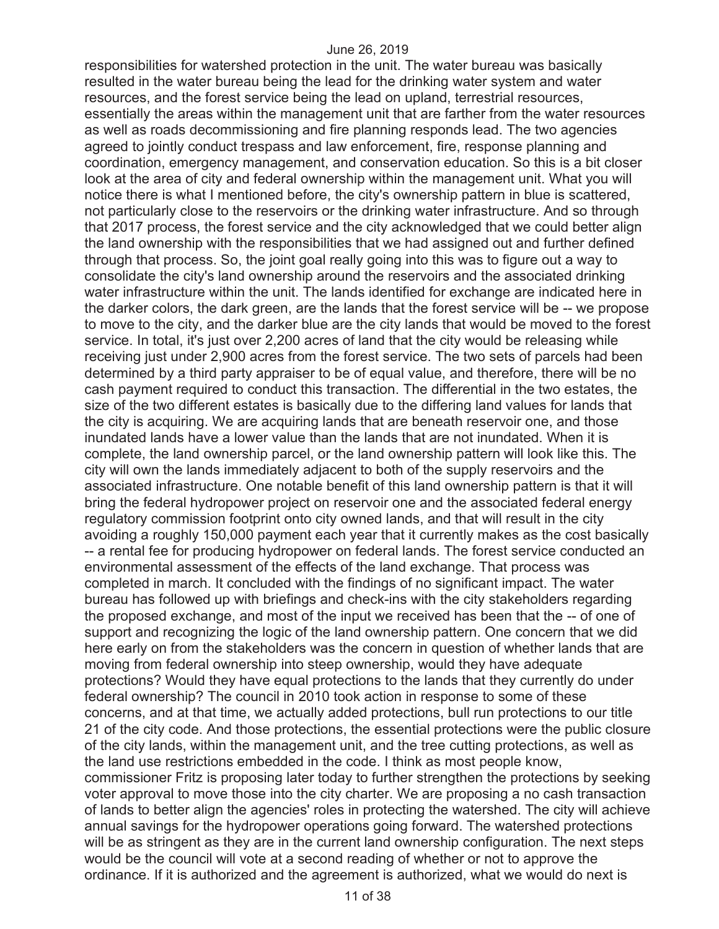responsibilities for watershed protection in the unit. The water bureau was basically resulted in the water bureau being the lead for the drinking water system and water resources, and the forest service being the lead on upland, terrestrial resources, essentially the areas within the management unit that are farther from the water resources as well as roads decommissioning and fire planning responds lead. The two agencies agreed to jointly conduct trespass and law enforcement, fire, response planning and coordination, emergency management, and conservation education. So this is a bit closer look at the area of city and federal ownership within the management unit. What you will notice there is what I mentioned before, the city's ownership pattern in blue is scattered, not particularly close to the reservoirs or the drinking water infrastructure. And so through that 2017 process, the forest service and the city acknowledged that we could better align the land ownership with the responsibilities that we had assigned out and further defined through that process. So, the joint goal really going into this was to figure out a way to consolidate the city's land ownership around the reservoirs and the associated drinking water infrastructure within the unit. The lands identified for exchange are indicated here in the darker colors, the dark green, are the lands that the forest service will be -- we propose to move to the city, and the darker blue are the city lands that would be moved to the forest service. In total, it's just over 2,200 acres of land that the city would be releasing while receiving just under 2,900 acres from the forest service. The two sets of parcels had been determined by a third party appraiser to be of equal value, and therefore, there will be no cash payment required to conduct this transaction. The differential in the two estates, the size of the two different estates is basically due to the differing land values for lands that the city is acquiring. We are acquiring lands that are beneath reservoir one, and those inundated lands have a lower value than the lands that are not inundated. When it is complete, the land ownership parcel, or the land ownership pattern will look like this. The city will own the lands immediately adjacent to both of the supply reservoirs and the associated infrastructure. One notable benefit of this land ownership pattern is that it will bring the federal hydropower project on reservoir one and the associated federal energy regulatory commission footprint onto city owned lands, and that will result in the city avoiding a roughly 150,000 payment each year that it currently makes as the cost basically -- a rental fee for producing hydropower on federal lands. The forest service conducted an environmental assessment of the effects of the land exchange. That process was completed in march. It concluded with the findings of no significant impact. The water bureau has followed up with briefings and check-ins with the city stakeholders regarding the proposed exchange, and most of the input we received has been that the -- of one of support and recognizing the logic of the land ownership pattern. One concern that we did here early on from the stakeholders was the concern in question of whether lands that are moving from federal ownership into steep ownership, would they have adequate protections? Would they have equal protections to the lands that they currently do under federal ownership? The council in 2010 took action in response to some of these concerns, and at that time, we actually added protections, bull run protections to our title 21 of the city code. And those protections, the essential protections were the public closure of the city lands, within the management unit, and the tree cutting protections, as well as the land use restrictions embedded in the code. I think as most people know, commissioner Fritz is proposing later today to further strengthen the protections by seeking voter approval to move those into the city charter. We are proposing a no cash transaction of lands to better align the agencies' roles in protecting the watershed. The city will achieve annual savings for the hydropower operations going forward. The watershed protections will be as stringent as they are in the current land ownership configuration. The next steps would be the council will vote at a second reading of whether or not to approve the ordinance. If it is authorized and the agreement is authorized, what we would do next is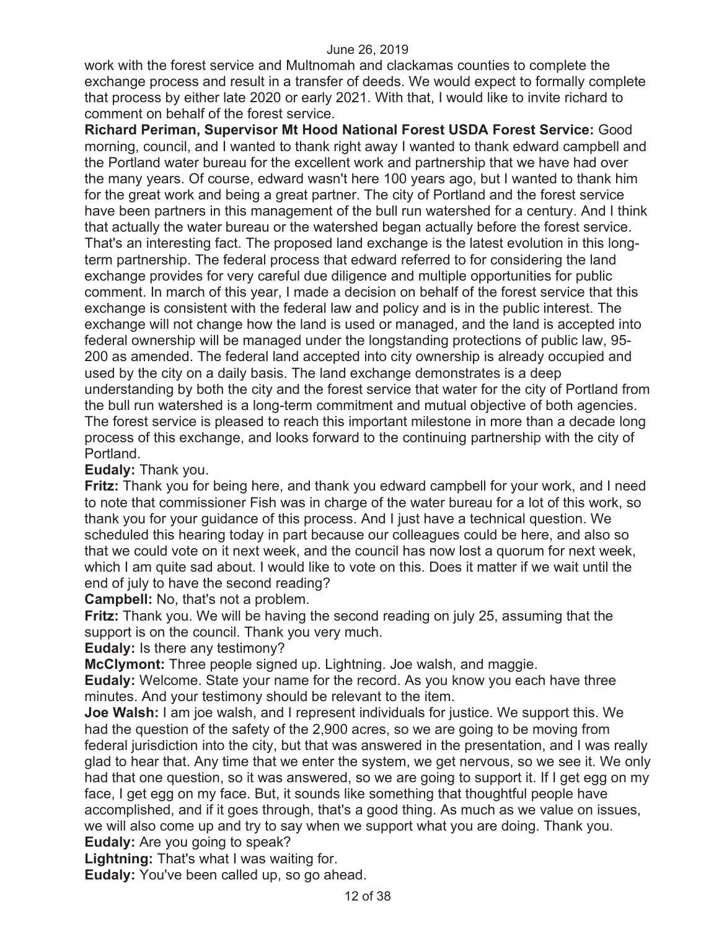work with the forest service and Multnomah and clackamas counties to complete the exchange process and result in a transfer of deeds. We would expect to formally complete that process by either late 2020 or early 2021. With that, I would like to invite richard to comment on behalf of the forest service.

**Richard Periman, Supervisor Mt Hood National Forest USDA Forest Service:** Good morning, council, and I wanted to thank right away I wanted to thank edward campbell and the Portland water bureau for the excellent work and partnership that we have had over the many years. Of course, edward wasn't here 100 years ago, but I wanted to thank him for the great work and being a great partner. The city of Portland and the forest service have been partners in this management of the bull run watershed for a century. And I think that actually the water bureau or the watershed began actually before the forest service. That's an interesting fact. The proposed land exchange is the latest evolution in this longterm partnership. The federal process that edward referred to for considering the land exchange provides for very careful due diligence and multiple opportunities for public comment. In march of this year, I made a decision on behalf of the forest service that this exchange is consistent with the federal law and policy and is in the public interest. The exchange will not change how the land is used or managed, and the land is accepted into federal ownership will be managed under the longstanding protections of public law, 95- 200 as amended. The federal land accepted into city ownership is already occupied and used by the city on a daily basis. The land exchange demonstrates is a deep understanding by both the city and the forest service that water for the city of Portland from the bull run watershed is a long-term commitment and mutual objective of both agencies. The forest service is pleased to reach this important milestone in more than a decade long process of this exchange, and looks forward to the continuing partnership with the city of Portland.

### **Eudaly:** Thank you.

**Fritz:** Thank you for being here, and thank you edward campbell for your work, and I need to note that commissioner Fish was in charge of the water bureau for a lot of this work, so thank you for your guidance of this process. And I just have a technical question. We scheduled this hearing today in part because our colleagues could be here, and also so that we could vote on it next week, and the council has now lost a quorum for next week, which I am quite sad about. I would like to vote on this. Does it matter if we wait until the end of july to have the second reading?

**Campbell:** No, that's not a problem.

**Fritz:** Thank you. We will be having the second reading on july 25, assuming that the support is on the council. Thank you very much.

**Eudaly:** Is there any testimony?

**McClymont:** Three people signed up. Lightning. Joe walsh, and maggie.

**Eudaly:** Welcome. State your name for the record. As you know you each have three minutes. And your testimony should be relevant to the item.

**Joe Walsh:** I am joe walsh, and I represent individuals for justice. We support this. We had the question of the safety of the 2,900 acres, so we are going to be moving from federal jurisdiction into the city, but that was answered in the presentation, and I was really glad to hear that. Any time that we enter the system, we get nervous, so we see it. We only had that one question, so it was answered, so we are going to support it. If I get egg on my face, I get egg on my face. But, it sounds like something that thoughtful people have accomplished, and if it goes through, that's a good thing. As much as we value on issues, we will also come up and try to say when we support what you are doing. Thank you. **Eudaly:** Are you going to speak?

**Lightning:** That's what I was waiting for.

**Eudaly:** You've been called up, so go ahead.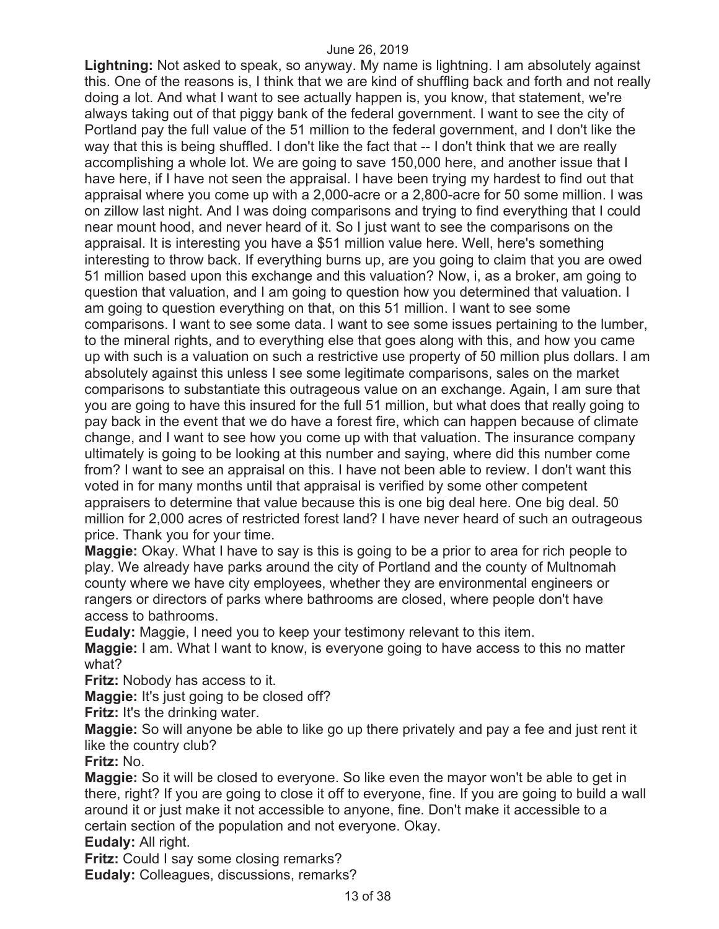**Lightning:** Not asked to speak, so anyway. My name is lightning. I am absolutely against this. One of the reasons is, I think that we are kind of shuffling back and forth and not really doing a lot. And what I want to see actually happen is, you know, that statement, we're always taking out of that piggy bank of the federal government. I want to see the city of Portland pay the full value of the 51 million to the federal government, and I don't like the way that this is being shuffled. I don't like the fact that -- I don't think that we are really accomplishing a whole lot. We are going to save 150,000 here, and another issue that I have here, if I have not seen the appraisal. I have been trying my hardest to find out that appraisal where you come up with a 2,000-acre or a 2,800-acre for 50 some million. I was on zillow last night. And I was doing comparisons and trying to find everything that I could near mount hood, and never heard of it. So I just want to see the comparisons on the appraisal. It is interesting you have a \$51 million value here. Well, here's something interesting to throw back. If everything burns up, are you going to claim that you are owed 51 million based upon this exchange and this valuation? Now, i, as a broker, am going to question that valuation, and I am going to question how you determined that valuation. I am going to question everything on that, on this 51 million. I want to see some comparisons. I want to see some data. I want to see some issues pertaining to the lumber, to the mineral rights, and to everything else that goes along with this, and how you came up with such is a valuation on such a restrictive use property of 50 million plus dollars. I am absolutely against this unless I see some legitimate comparisons, sales on the market comparisons to substantiate this outrageous value on an exchange. Again, I am sure that you are going to have this insured for the full 51 million, but what does that really going to pay back in the event that we do have a forest fire, which can happen because of climate change, and I want to see how you come up with that valuation. The insurance company ultimately is going to be looking at this number and saying, where did this number come from? I want to see an appraisal on this. I have not been able to review. I don't want this voted in for many months until that appraisal is verified by some other competent appraisers to determine that value because this is one big deal here. One big deal. 50 million for 2,000 acres of restricted forest land? I have never heard of such an outrageous price. Thank you for your time.

**Maggie:** Okay. What I have to say is this is going to be a prior to area for rich people to play. We already have parks around the city of Portland and the county of Multnomah county where we have city employees, whether they are environmental engineers or rangers or directors of parks where bathrooms are closed, where people don't have access to bathrooms.

**Eudaly:** Maggie, I need you to keep your testimony relevant to this item.

**Maggie:** I am. What I want to know, is everyone going to have access to this no matter what?

**Fritz:** Nobody has access to it.

**Maggie:** It's just going to be closed off?

**Fritz:** It's the drinking water.

**Maggie:** So will anyone be able to like go up there privately and pay a fee and just rent it like the country club?

**Fritz:** No.

**Maggie:** So it will be closed to everyone. So like even the mayor won't be able to get in there, right? If you are going to close it off to everyone, fine. If you are going to build a wall around it or just make it not accessible to anyone, fine. Don't make it accessible to a certain section of the population and not everyone. Okay.

**Eudaly:** All right.

**Fritz:** Could I say some closing remarks?

**Eudaly:** Colleagues, discussions, remarks?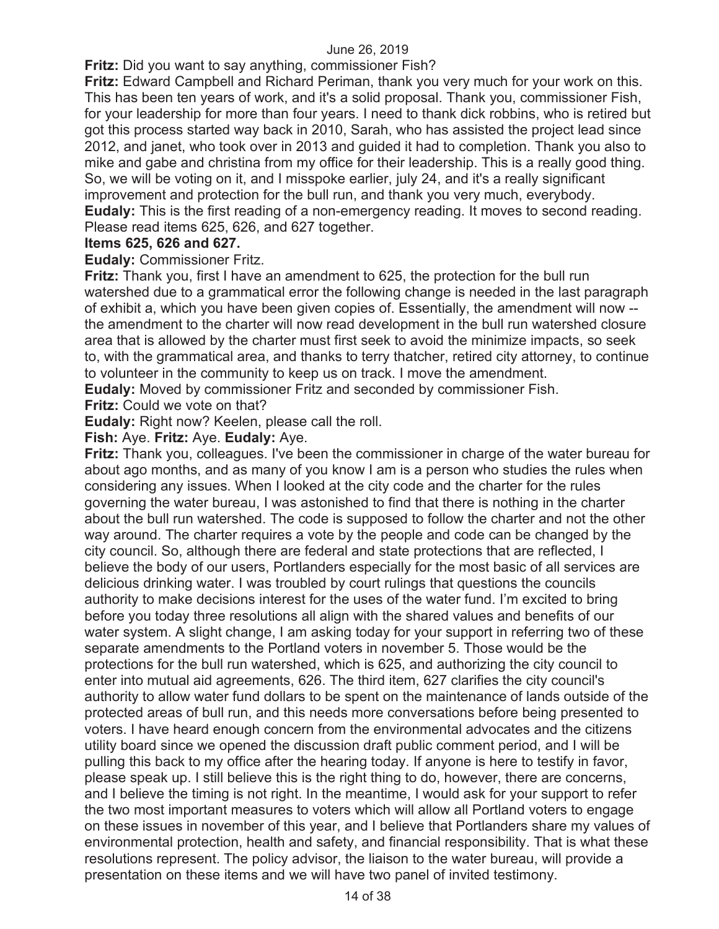**Fritz:** Did you want to say anything, commissioner Fish?

**Fritz:** Edward Campbell and Richard Periman, thank you very much for your work on this. This has been ten years of work, and it's a solid proposal. Thank you, commissioner Fish, for your leadership for more than four years. I need to thank dick robbins, who is retired but got this process started way back in 2010, Sarah, who has assisted the project lead since 2012, and janet, who took over in 2013 and guided it had to completion. Thank you also to mike and gabe and christina from my office for their leadership. This is a really good thing. So, we will be voting on it, and I misspoke earlier, july 24, and it's a really significant improvement and protection for the bull run, and thank you very much, everybody. **Eudaly:** This is the first reading of a non-emergency reading. It moves to second reading. Please read items 625, 626, and 627 together.

## **Items 625, 626 and 627.**

**Eudaly:** Commissioner Fritz.

**Fritz:** Thank you, first I have an amendment to 625, the protection for the bull run watershed due to a grammatical error the following change is needed in the last paragraph of exhibit a, which you have been given copies of. Essentially, the amendment will now - the amendment to the charter will now read development in the bull run watershed closure area that is allowed by the charter must first seek to avoid the minimize impacts, so seek to, with the grammatical area, and thanks to terry thatcher, retired city attorney, to continue to volunteer in the community to keep us on track. I move the amendment.

**Eudaly:** Moved by commissioner Fritz and seconded by commissioner Fish.

**Fritz:** Could we vote on that?

**Eudaly:** Right now? Keelen, please call the roll.

**Fish:** Aye. **Fritz:** Aye. **Eudaly:** Aye.

**Fritz:** Thank you, colleagues. I've been the commissioner in charge of the water bureau for about ago months, and as many of you know I am is a person who studies the rules when considering any issues. When I looked at the city code and the charter for the rules governing the water bureau, I was astonished to find that there is nothing in the charter about the bull run watershed. The code is supposed to follow the charter and not the other way around. The charter requires a vote by the people and code can be changed by the city council. So, although there are federal and state protections that are reflected, I believe the body of our users, Portlanders especially for the most basic of all services are delicious drinking water. I was troubled by court rulings that questions the councils authority to make decisions interest for the uses of the water fund. I'm excited to bring before you today three resolutions all align with the shared values and benefits of our water system. A slight change, I am asking today for your support in referring two of these separate amendments to the Portland voters in november 5. Those would be the protections for the bull run watershed, which is 625, and authorizing the city council to enter into mutual aid agreements, 626. The third item, 627 clarifies the city council's authority to allow water fund dollars to be spent on the maintenance of lands outside of the protected areas of bull run, and this needs more conversations before being presented to voters. I have heard enough concern from the environmental advocates and the citizens utility board since we opened the discussion draft public comment period, and I will be pulling this back to my office after the hearing today. If anyone is here to testify in favor, please speak up. I still believe this is the right thing to do, however, there are concerns, and I believe the timing is not right. In the meantime, I would ask for your support to refer the two most important measures to voters which will allow all Portland voters to engage on these issues in november of this year, and I believe that Portlanders share my values of environmental protection, health and safety, and financial responsibility. That is what these resolutions represent. The policy advisor, the liaison to the water bureau, will provide a presentation on these items and we will have two panel of invited testimony.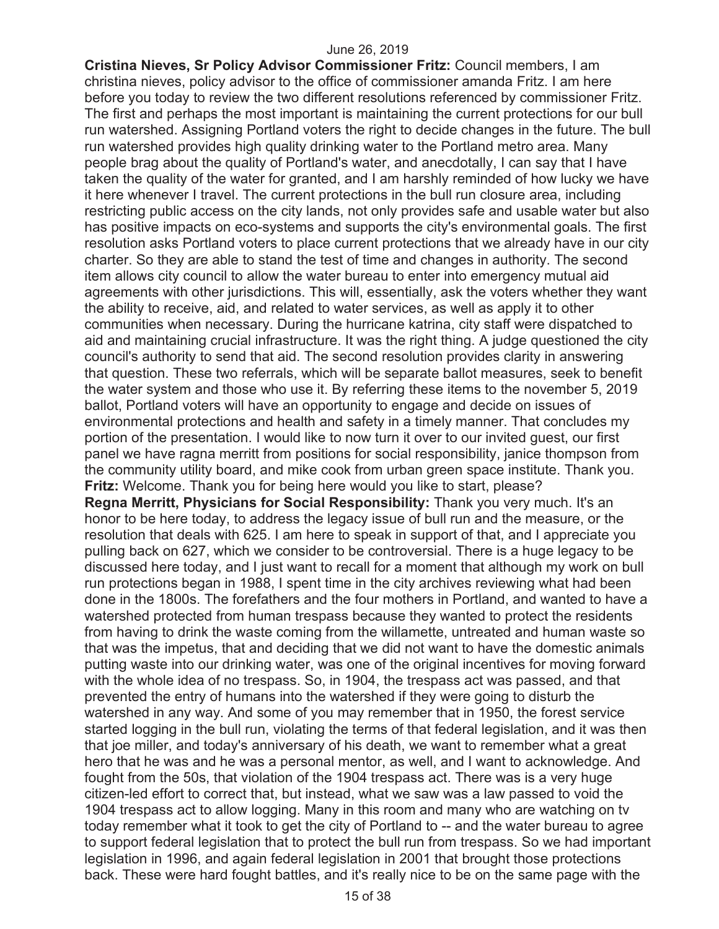**Cristina Nieves, Sr Policy Advisor Commissioner Fritz:** Council members, I am christina nieves, policy advisor to the office of commissioner amanda Fritz. I am here before you today to review the two different resolutions referenced by commissioner Fritz. The first and perhaps the most important is maintaining the current protections for our bull run watershed. Assigning Portland voters the right to decide changes in the future. The bull run watershed provides high quality drinking water to the Portland metro area. Many people brag about the quality of Portland's water, and anecdotally, I can say that I have taken the quality of the water for granted, and I am harshly reminded of how lucky we have it here whenever I travel. The current protections in the bull run closure area, including restricting public access on the city lands, not only provides safe and usable water but also has positive impacts on eco-systems and supports the city's environmental goals. The first resolution asks Portland voters to place current protections that we already have in our city charter. So they are able to stand the test of time and changes in authority. The second item allows city council to allow the water bureau to enter into emergency mutual aid agreements with other jurisdictions. This will, essentially, ask the voters whether they want the ability to receive, aid, and related to water services, as well as apply it to other communities when necessary. During the hurricane katrina, city staff were dispatched to aid and maintaining crucial infrastructure. It was the right thing. A judge questioned the city council's authority to send that aid. The second resolution provides clarity in answering that question. These two referrals, which will be separate ballot measures, seek to benefit the water system and those who use it. By referring these items to the november 5, 2019 ballot, Portland voters will have an opportunity to engage and decide on issues of environmental protections and health and safety in a timely manner. That concludes my portion of the presentation. I would like to now turn it over to our invited guest, our first panel we have ragna merritt from positions for social responsibility, janice thompson from the community utility board, and mike cook from urban green space institute. Thank you. **Fritz:** Welcome. Thank you for being here would you like to start, please? **Regna Merritt, Physicians for Social Responsibility:** Thank you very much. It's an honor to be here today, to address the legacy issue of bull run and the measure, or the resolution that deals with 625. I am here to speak in support of that, and I appreciate you pulling back on 627, which we consider to be controversial. There is a huge legacy to be discussed here today, and I just want to recall for a moment that although my work on bull run protections began in 1988, I spent time in the city archives reviewing what had been done in the 1800s. The forefathers and the four mothers in Portland, and wanted to have a watershed protected from human trespass because they wanted to protect the residents from having to drink the waste coming from the willamette, untreated and human waste so that was the impetus, that and deciding that we did not want to have the domestic animals putting waste into our drinking water, was one of the original incentives for moving forward

with the whole idea of no trespass. So, in 1904, the trespass act was passed, and that prevented the entry of humans into the watershed if they were going to disturb the watershed in any way. And some of you may remember that in 1950, the forest service started logging in the bull run, violating the terms of that federal legislation, and it was then that joe miller, and today's anniversary of his death, we want to remember what a great hero that he was and he was a personal mentor, as well, and I want to acknowledge. And fought from the 50s, that violation of the 1904 trespass act. There was is a very huge citizen-led effort to correct that, but instead, what we saw was a law passed to void the 1904 trespass act to allow logging. Many in this room and many who are watching on tv today remember what it took to get the city of Portland to -- and the water bureau to agree to support federal legislation that to protect the bull run from trespass. So we had important legislation in 1996, and again federal legislation in 2001 that brought those protections back. These were hard fought battles, and it's really nice to be on the same page with the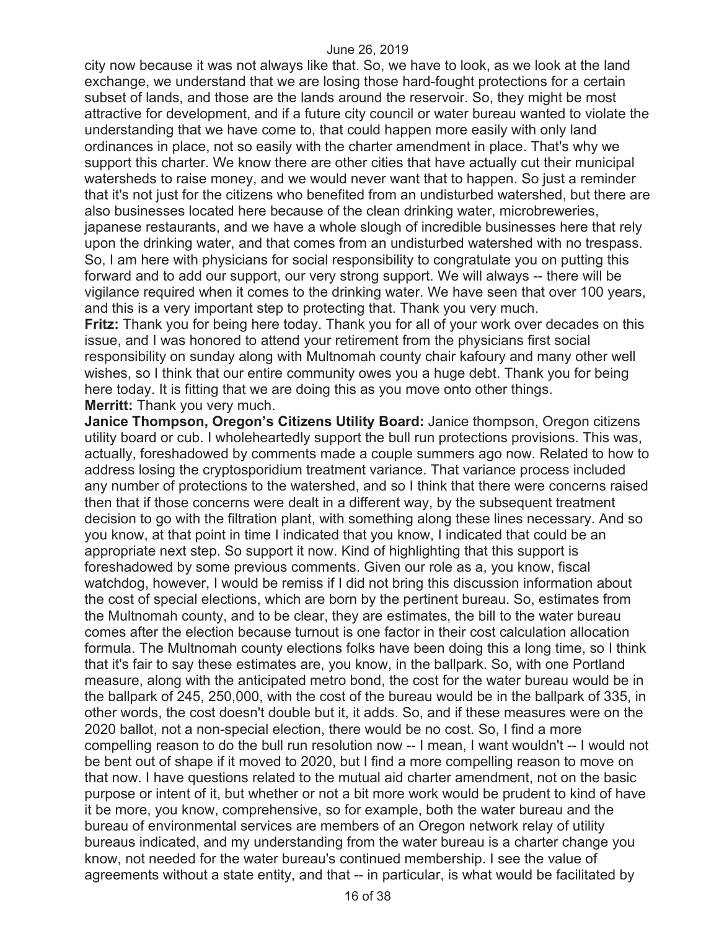city now because it was not always like that. So, we have to look, as we look at the land exchange, we understand that we are losing those hard-fought protections for a certain subset of lands, and those are the lands around the reservoir. So, they might be most attractive for development, and if a future city council or water bureau wanted to violate the understanding that we have come to, that could happen more easily with only land ordinances in place, not so easily with the charter amendment in place. That's why we support this charter. We know there are other cities that have actually cut their municipal watersheds to raise money, and we would never want that to happen. So just a reminder that it's not just for the citizens who benefited from an undisturbed watershed, but there are also businesses located here because of the clean drinking water, microbreweries, japanese restaurants, and we have a whole slough of incredible businesses here that rely upon the drinking water, and that comes from an undisturbed watershed with no trespass. So, I am here with physicians for social responsibility to congratulate you on putting this forward and to add our support, our very strong support. We will always -- there will be vigilance required when it comes to the drinking water. We have seen that over 100 years, and this is a very important step to protecting that. Thank you very much.

**Fritz:** Thank you for being here today. Thank you for all of your work over decades on this issue, and I was honored to attend your retirement from the physicians first social responsibility on sunday along with Multnomah county chair kafoury and many other well wishes, so I think that our entire community owes you a huge debt. Thank you for being here today. It is fitting that we are doing this as you move onto other things. **Merritt:** Thank you very much.

**Janice Thompson, Oregon's Citizens Utility Board:** Janice thompson, Oregon citizens utility board or cub. I wholeheartedly support the bull run protections provisions. This was, actually, foreshadowed by comments made a couple summers ago now. Related to how to address losing the cryptosporidium treatment variance. That variance process included any number of protections to the watershed, and so I think that there were concerns raised then that if those concerns were dealt in a different way, by the subsequent treatment decision to go with the filtration plant, with something along these lines necessary. And so you know, at that point in time I indicated that you know, I indicated that could be an appropriate next step. So support it now. Kind of highlighting that this support is foreshadowed by some previous comments. Given our role as a, you know, fiscal watchdog, however, I would be remiss if I did not bring this discussion information about the cost of special elections, which are born by the pertinent bureau. So, estimates from the Multnomah county, and to be clear, they are estimates, the bill to the water bureau comes after the election because turnout is one factor in their cost calculation allocation formula. The Multnomah county elections folks have been doing this a long time, so I think that it's fair to say these estimates are, you know, in the ballpark. So, with one Portland measure, along with the anticipated metro bond, the cost for the water bureau would be in the ballpark of 245, 250,000, with the cost of the bureau would be in the ballpark of 335, in other words, the cost doesn't double but it, it adds. So, and if these measures were on the 2020 ballot, not a non-special election, there would be no cost. So, I find a more compelling reason to do the bull run resolution now -- I mean, I want wouldn't -- I would not be bent out of shape if it moved to 2020, but I find a more compelling reason to move on that now. I have questions related to the mutual aid charter amendment, not on the basic purpose or intent of it, but whether or not a bit more work would be prudent to kind of have it be more, you know, comprehensive, so for example, both the water bureau and the bureau of environmental services are members of an Oregon network relay of utility bureaus indicated, and my understanding from the water bureau is a charter change you know, not needed for the water bureau's continued membership. I see the value of agreements without a state entity, and that -- in particular, is what would be facilitated by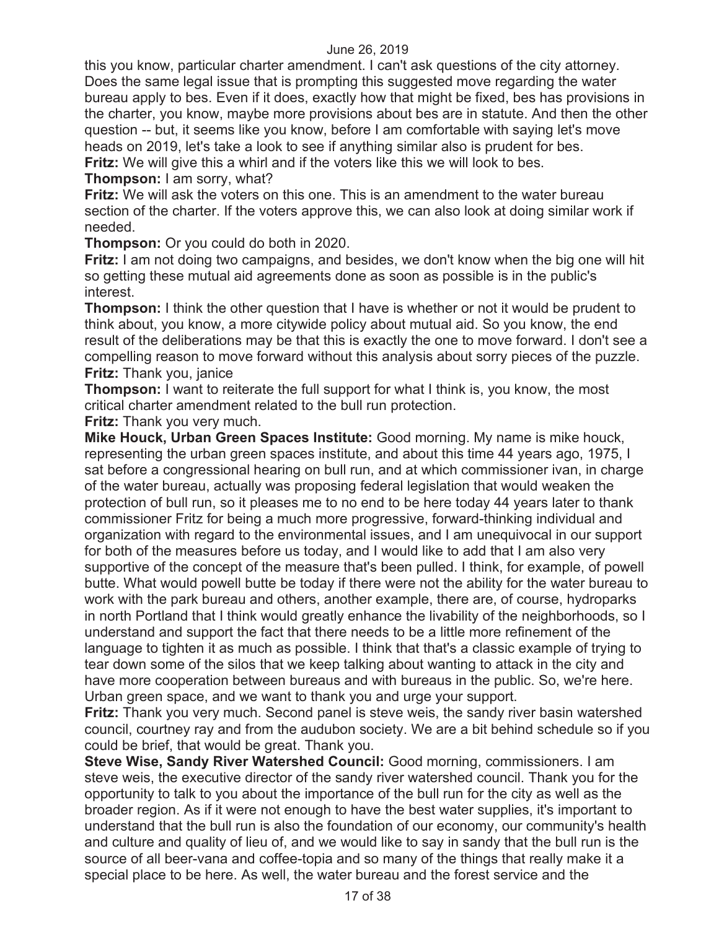this you know, particular charter amendment. I can't ask questions of the city attorney. Does the same legal issue that is prompting this suggested move regarding the water bureau apply to bes. Even if it does, exactly how that might be fixed, bes has provisions in the charter, you know, maybe more provisions about bes are in statute. And then the other question -- but, it seems like you know, before I am comfortable with saying let's move heads on 2019, let's take a look to see if anything similar also is prudent for bes.

**Fritz:** We will give this a whirl and if the voters like this we will look to bes.

**Thompson:** I am sorry, what?

**Fritz:** We will ask the voters on this one. This is an amendment to the water bureau section of the charter. If the voters approve this, we can also look at doing similar work if needed.

**Thompson:** Or you could do both in 2020.

**Fritz:** I am not doing two campaigns, and besides, we don't know when the big one will hit so getting these mutual aid agreements done as soon as possible is in the public's interest.

**Thompson:** I think the other question that I have is whether or not it would be prudent to think about, you know, a more citywide policy about mutual aid. So you know, the end result of the deliberations may be that this is exactly the one to move forward. I don't see a compelling reason to move forward without this analysis about sorry pieces of the puzzle. **Fritz:** Thank you, janice

**Thompson:** I want to reiterate the full support for what I think is, you know, the most critical charter amendment related to the bull run protection.

**Fritz:** Thank you very much.

**Mike Houck, Urban Green Spaces Institute:** Good morning. My name is mike houck, representing the urban green spaces institute, and about this time 44 years ago, 1975, I sat before a congressional hearing on bull run, and at which commissioner ivan, in charge of the water bureau, actually was proposing federal legislation that would weaken the protection of bull run, so it pleases me to no end to be here today 44 years later to thank commissioner Fritz for being a much more progressive, forward-thinking individual and organization with regard to the environmental issues, and I am unequivocal in our support for both of the measures before us today, and I would like to add that I am also very supportive of the concept of the measure that's been pulled. I think, for example, of powell butte. What would powell butte be today if there were not the ability for the water bureau to work with the park bureau and others, another example, there are, of course, hydroparks in north Portland that I think would greatly enhance the livability of the neighborhoods, so I understand and support the fact that there needs to be a little more refinement of the language to tighten it as much as possible. I think that that's a classic example of trying to tear down some of the silos that we keep talking about wanting to attack in the city and have more cooperation between bureaus and with bureaus in the public. So, we're here. Urban green space, and we want to thank you and urge your support.

**Fritz:** Thank you very much. Second panel is steve weis, the sandy river basin watershed council, courtney ray and from the audubon society. We are a bit behind schedule so if you could be brief, that would be great. Thank you.

**Steve Wise, Sandy River Watershed Council:** Good morning, commissioners. I am steve weis, the executive director of the sandy river watershed council. Thank you for the opportunity to talk to you about the importance of the bull run for the city as well as the broader region. As if it were not enough to have the best water supplies, it's important to understand that the bull run is also the foundation of our economy, our community's health and culture and quality of lieu of, and we would like to say in sandy that the bull run is the source of all beer-vana and coffee-topia and so many of the things that really make it a special place to be here. As well, the water bureau and the forest service and the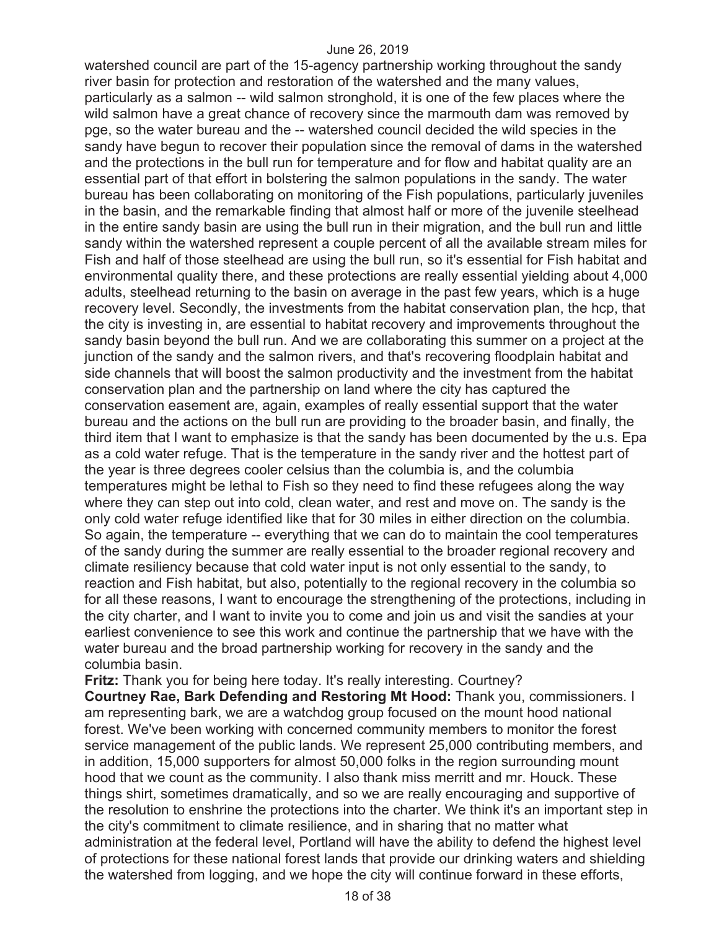watershed council are part of the 15-agency partnership working throughout the sandy river basin for protection and restoration of the watershed and the many values, particularly as a salmon -- wild salmon stronghold, it is one of the few places where the wild salmon have a great chance of recovery since the marmouth dam was removed by pge, so the water bureau and the -- watershed council decided the wild species in the sandy have begun to recover their population since the removal of dams in the watershed and the protections in the bull run for temperature and for flow and habitat quality are an essential part of that effort in bolstering the salmon populations in the sandy. The water bureau has been collaborating on monitoring of the Fish populations, particularly juveniles in the basin, and the remarkable finding that almost half or more of the juvenile steelhead in the entire sandy basin are using the bull run in their migration, and the bull run and little sandy within the watershed represent a couple percent of all the available stream miles for Fish and half of those steelhead are using the bull run, so it's essential for Fish habitat and environmental quality there, and these protections are really essential yielding about 4,000 adults, steelhead returning to the basin on average in the past few years, which is a huge recovery level. Secondly, the investments from the habitat conservation plan, the hcp, that the city is investing in, are essential to habitat recovery and improvements throughout the sandy basin beyond the bull run. And we are collaborating this summer on a project at the junction of the sandy and the salmon rivers, and that's recovering floodplain habitat and side channels that will boost the salmon productivity and the investment from the habitat conservation plan and the partnership on land where the city has captured the conservation easement are, again, examples of really essential support that the water bureau and the actions on the bull run are providing to the broader basin, and finally, the third item that I want to emphasize is that the sandy has been documented by the u.s. Epa as a cold water refuge. That is the temperature in the sandy river and the hottest part of the year is three degrees cooler celsius than the columbia is, and the columbia temperatures might be lethal to Fish so they need to find these refugees along the way where they can step out into cold, clean water, and rest and move on. The sandy is the only cold water refuge identified like that for 30 miles in either direction on the columbia. So again, the temperature -- everything that we can do to maintain the cool temperatures of the sandy during the summer are really essential to the broader regional recovery and climate resiliency because that cold water input is not only essential to the sandy, to reaction and Fish habitat, but also, potentially to the regional recovery in the columbia so for all these reasons, I want to encourage the strengthening of the protections, including in the city charter, and I want to invite you to come and join us and visit the sandies at your earliest convenience to see this work and continue the partnership that we have with the water bureau and the broad partnership working for recovery in the sandy and the columbia basin.

**Fritz:** Thank you for being here today. It's really interesting. Courtney? **Courtney Rae, Bark Defending and Restoring Mt Hood:** Thank you, commissioners. I am representing bark, we are a watchdog group focused on the mount hood national forest. We've been working with concerned community members to monitor the forest service management of the public lands. We represent 25,000 contributing members, and in addition, 15,000 supporters for almost 50,000 folks in the region surrounding mount hood that we count as the community. I also thank miss merritt and mr. Houck. These things shirt, sometimes dramatically, and so we are really encouraging and supportive of the resolution to enshrine the protections into the charter. We think it's an important step in the city's commitment to climate resilience, and in sharing that no matter what administration at the federal level, Portland will have the ability to defend the highest level of protections for these national forest lands that provide our drinking waters and shielding the watershed from logging, and we hope the city will continue forward in these efforts,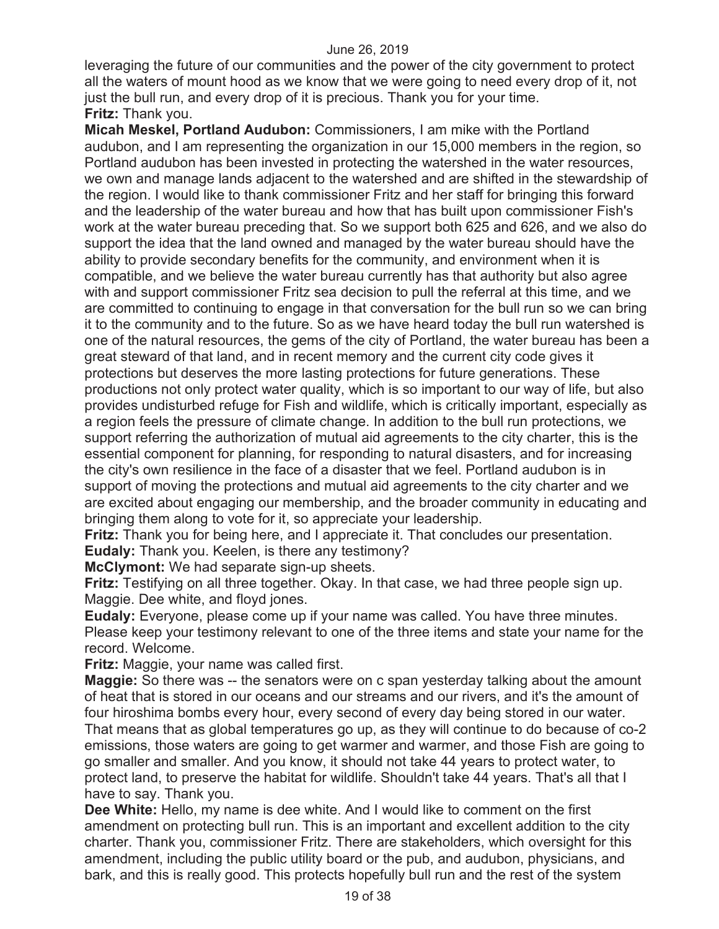leveraging the future of our communities and the power of the city government to protect all the waters of mount hood as we know that we were going to need every drop of it, not just the bull run, and every drop of it is precious. Thank you for your time. **Fritz:** Thank you.

**Micah Meskel, Portland Audubon:** Commissioners, I am mike with the Portland audubon, and I am representing the organization in our 15,000 members in the region, so Portland audubon has been invested in protecting the watershed in the water resources, we own and manage lands adjacent to the watershed and are shifted in the stewardship of the region. I would like to thank commissioner Fritz and her staff for bringing this forward and the leadership of the water bureau and how that has built upon commissioner Fish's work at the water bureau preceding that. So we support both 625 and 626, and we also do support the idea that the land owned and managed by the water bureau should have the ability to provide secondary benefits for the community, and environment when it is compatible, and we believe the water bureau currently has that authority but also agree with and support commissioner Fritz sea decision to pull the referral at this time, and we are committed to continuing to engage in that conversation for the bull run so we can bring it to the community and to the future. So as we have heard today the bull run watershed is one of the natural resources, the gems of the city of Portland, the water bureau has been a great steward of that land, and in recent memory and the current city code gives it protections but deserves the more lasting protections for future generations. These productions not only protect water quality, which is so important to our way of life, but also provides undisturbed refuge for Fish and wildlife, which is critically important, especially as a region feels the pressure of climate change. In addition to the bull run protections, we support referring the authorization of mutual aid agreements to the city charter, this is the essential component for planning, for responding to natural disasters, and for increasing the city's own resilience in the face of a disaster that we feel. Portland audubon is in support of moving the protections and mutual aid agreements to the city charter and we are excited about engaging our membership, and the broader community in educating and bringing them along to vote for it, so appreciate your leadership.

**Fritz:** Thank you for being here, and I appreciate it. That concludes our presentation. **Eudaly:** Thank you. Keelen, is there any testimony?

**McClymont:** We had separate sign-up sheets.

**Fritz:** Testifying on all three together. Okay. In that case, we had three people sign up. Maggie. Dee white, and floyd jones.

**Eudaly:** Everyone, please come up if your name was called. You have three minutes. Please keep your testimony relevant to one of the three items and state your name for the record. Welcome.

**Fritz:** Maggie, your name was called first.

**Maggie:** So there was -- the senators were on c span yesterday talking about the amount of heat that is stored in our oceans and our streams and our rivers, and it's the amount of four hiroshima bombs every hour, every second of every day being stored in our water. That means that as global temperatures go up, as they will continue to do because of co-2 emissions, those waters are going to get warmer and warmer, and those Fish are going to go smaller and smaller. And you know, it should not take 44 years to protect water, to protect land, to preserve the habitat for wildlife. Shouldn't take 44 years. That's all that I have to say. Thank you.

**Dee White:** Hello, my name is dee white. And I would like to comment on the first amendment on protecting bull run. This is an important and excellent addition to the city charter. Thank you, commissioner Fritz. There are stakeholders, which oversight for this amendment, including the public utility board or the pub, and audubon, physicians, and bark, and this is really good. This protects hopefully bull run and the rest of the system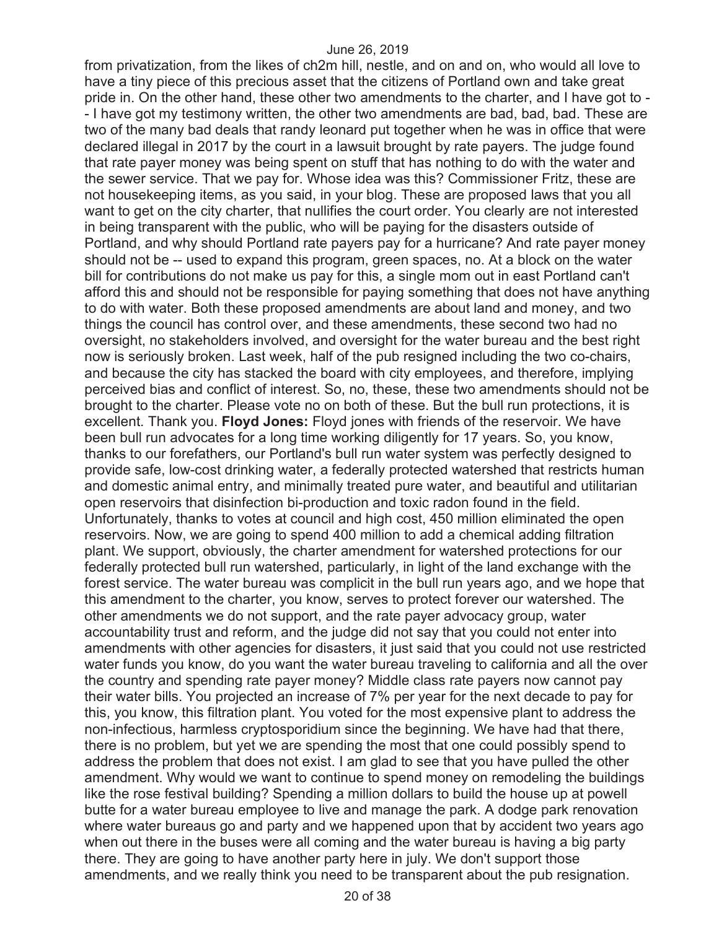from privatization, from the likes of ch2m hill, nestle, and on and on, who would all love to have a tiny piece of this precious asset that the citizens of Portland own and take great pride in. On the other hand, these other two amendments to the charter, and I have got to - - I have got my testimony written, the other two amendments are bad, bad, bad. These are two of the many bad deals that randy leonard put together when he was in office that were declared illegal in 2017 by the court in a lawsuit brought by rate payers. The judge found that rate payer money was being spent on stuff that has nothing to do with the water and the sewer service. That we pay for. Whose idea was this? Commissioner Fritz, these are not housekeeping items, as you said, in your blog. These are proposed laws that you all want to get on the city charter, that nullifies the court order. You clearly are not interested in being transparent with the public, who will be paying for the disasters outside of Portland, and why should Portland rate payers pay for a hurricane? And rate payer money should not be -- used to expand this program, green spaces, no. At a block on the water bill for contributions do not make us pay for this, a single mom out in east Portland can't afford this and should not be responsible for paying something that does not have anything to do with water. Both these proposed amendments are about land and money, and two things the council has control over, and these amendments, these second two had no oversight, no stakeholders involved, and oversight for the water bureau and the best right now is seriously broken. Last week, half of the pub resigned including the two co-chairs, and because the city has stacked the board with city employees, and therefore, implying perceived bias and conflict of interest. So, no, these, these two amendments should not be brought to the charter. Please vote no on both of these. But the bull run protections, it is excellent. Thank you. **Floyd Jones:** Floyd jones with friends of the reservoir. We have been bull run advocates for a long time working diligently for 17 years. So, you know, thanks to our forefathers, our Portland's bull run water system was perfectly designed to provide safe, low-cost drinking water, a federally protected watershed that restricts human and domestic animal entry, and minimally treated pure water, and beautiful and utilitarian open reservoirs that disinfection bi-production and toxic radon found in the field. Unfortunately, thanks to votes at council and high cost, 450 million eliminated the open reservoirs. Now, we are going to spend 400 million to add a chemical adding filtration plant. We support, obviously, the charter amendment for watershed protections for our federally protected bull run watershed, particularly, in light of the land exchange with the forest service. The water bureau was complicit in the bull run years ago, and we hope that this amendment to the charter, you know, serves to protect forever our watershed. The other amendments we do not support, and the rate payer advocacy group, water accountability trust and reform, and the judge did not say that you could not enter into amendments with other agencies for disasters, it just said that you could not use restricted water funds you know, do you want the water bureau traveling to california and all the over the country and spending rate payer money? Middle class rate payers now cannot pay their water bills. You projected an increase of 7% per year for the next decade to pay for this, you know, this filtration plant. You voted for the most expensive plant to address the non-infectious, harmless cryptosporidium since the beginning. We have had that there, there is no problem, but yet we are spending the most that one could possibly spend to address the problem that does not exist. I am glad to see that you have pulled the other amendment. Why would we want to continue to spend money on remodeling the buildings like the rose festival building? Spending a million dollars to build the house up at powell butte for a water bureau employee to live and manage the park. A dodge park renovation where water bureaus go and party and we happened upon that by accident two years ago when out there in the buses were all coming and the water bureau is having a big party there. They are going to have another party here in july. We don't support those amendments, and we really think you need to be transparent about the pub resignation.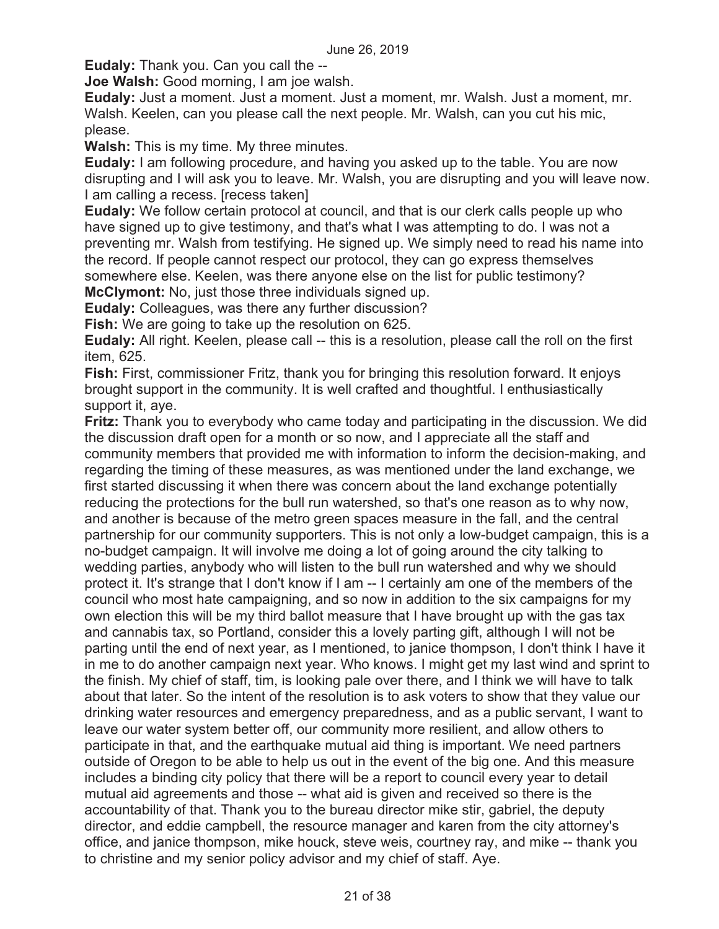**Eudaly:** Thank you. Can you call the --

**Joe Walsh:** Good morning, I am joe walsh.

**Eudaly:** Just a moment. Just a moment. Just a moment, mr. Walsh. Just a moment, mr. Walsh. Keelen, can you please call the next people. Mr. Walsh, can you cut his mic, please.

**Walsh:** This is my time. My three minutes.

**Eudaly:** I am following procedure, and having you asked up to the table. You are now disrupting and I will ask you to leave. Mr. Walsh, you are disrupting and you will leave now. I am calling a recess. [recess taken]

**Eudaly:** We follow certain protocol at council, and that is our clerk calls people up who have signed up to give testimony, and that's what I was attempting to do. I was not a preventing mr. Walsh from testifying. He signed up. We simply need to read his name into the record. If people cannot respect our protocol, they can go express themselves somewhere else. Keelen, was there anyone else on the list for public testimony? **McClymont:** No, just those three individuals signed up.

**Eudaly:** Colleagues, was there any further discussion?

**Fish:** We are going to take up the resolution on 625.

**Eudaly:** All right. Keelen, please call -- this is a resolution, please call the roll on the first item, 625.

**Fish:** First, commissioner Fritz, thank you for bringing this resolution forward. It enjoys brought support in the community. It is well crafted and thoughtful. I enthusiastically support it, aye.

**Fritz:** Thank you to everybody who came today and participating in the discussion. We did the discussion draft open for a month or so now, and I appreciate all the staff and community members that provided me with information to inform the decision-making, and regarding the timing of these measures, as was mentioned under the land exchange, we first started discussing it when there was concern about the land exchange potentially reducing the protections for the bull run watershed, so that's one reason as to why now, and another is because of the metro green spaces measure in the fall, and the central partnership for our community supporters. This is not only a low-budget campaign, this is a no-budget campaign. It will involve me doing a lot of going around the city talking to wedding parties, anybody who will listen to the bull run watershed and why we should protect it. It's strange that I don't know if I am -- I certainly am one of the members of the council who most hate campaigning, and so now in addition to the six campaigns for my own election this will be my third ballot measure that I have brought up with the gas tax and cannabis tax, so Portland, consider this a lovely parting gift, although I will not be parting until the end of next year, as I mentioned, to janice thompson, I don't think I have it in me to do another campaign next year. Who knows. I might get my last wind and sprint to the finish. My chief of staff, tim, is looking pale over there, and I think we will have to talk about that later. So the intent of the resolution is to ask voters to show that they value our drinking water resources and emergency preparedness, and as a public servant, I want to leave our water system better off, our community more resilient, and allow others to participate in that, and the earthquake mutual aid thing is important. We need partners outside of Oregon to be able to help us out in the event of the big one. And this measure includes a binding city policy that there will be a report to council every year to detail mutual aid agreements and those -- what aid is given and received so there is the accountability of that. Thank you to the bureau director mike stir, gabriel, the deputy director, and eddie campbell, the resource manager and karen from the city attorney's office, and janice thompson, mike houck, steve weis, courtney ray, and mike -- thank you to christine and my senior policy advisor and my chief of staff. Aye.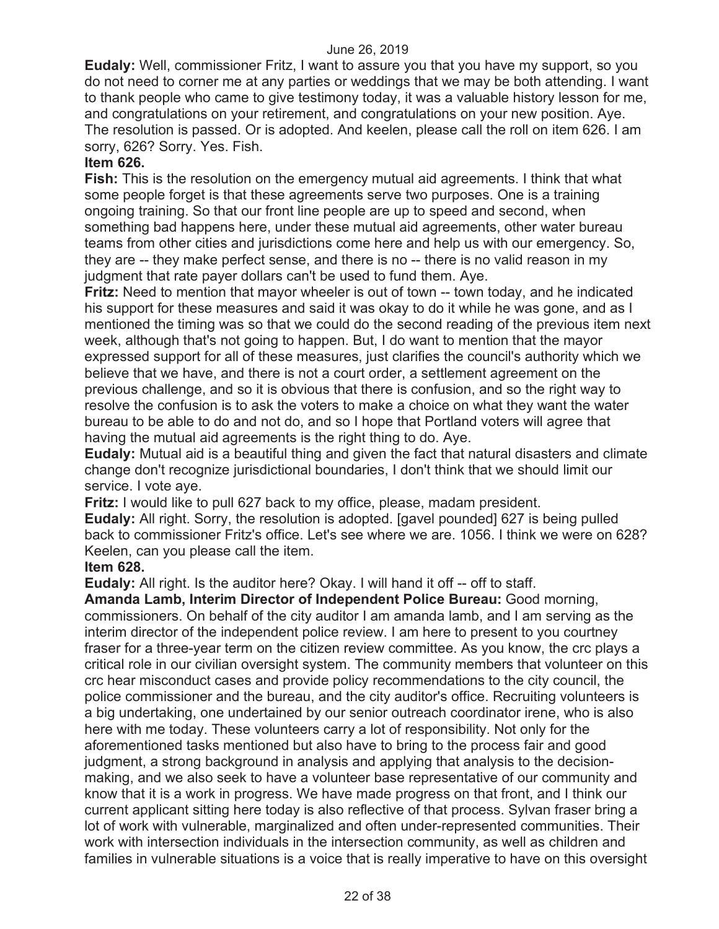**Eudaly:** Well, commissioner Fritz, I want to assure you that you have my support, so you do not need to corner me at any parties or weddings that we may be both attending. I want to thank people who came to give testimony today, it was a valuable history lesson for me, and congratulations on your retirement, and congratulations on your new position. Aye. The resolution is passed. Or is adopted. And keelen, please call the roll on item 626. I am sorry, 626? Sorry. Yes. Fish.

## **Item 626.**

**Fish:** This is the resolution on the emergency mutual aid agreements. I think that what some people forget is that these agreements serve two purposes. One is a training ongoing training. So that our front line people are up to speed and second, when something bad happens here, under these mutual aid agreements, other water bureau teams from other cities and jurisdictions come here and help us with our emergency. So, they are -- they make perfect sense, and there is no -- there is no valid reason in my judgment that rate payer dollars can't be used to fund them. Aye.

**Fritz:** Need to mention that mayor wheeler is out of town -- town today, and he indicated his support for these measures and said it was okay to do it while he was gone, and as I mentioned the timing was so that we could do the second reading of the previous item next week, although that's not going to happen. But, I do want to mention that the mayor expressed support for all of these measures, just clarifies the council's authority which we believe that we have, and there is not a court order, a settlement agreement on the previous challenge, and so it is obvious that there is confusion, and so the right way to resolve the confusion is to ask the voters to make a choice on what they want the water bureau to be able to do and not do, and so I hope that Portland voters will agree that having the mutual aid agreements is the right thing to do. Aye.

**Eudaly:** Mutual aid is a beautiful thing and given the fact that natural disasters and climate change don't recognize jurisdictional boundaries, I don't think that we should limit our service. I vote aye.

**Fritz:** I would like to pull 627 back to my office, please, madam president. **Eudaly:** All right. Sorry, the resolution is adopted. [gavel pounded] 627 is being pulled back to commissioner Fritz's office. Let's see where we are. 1056. I think we were on 628? Keelen, can you please call the item.

#### **Item 628.**

**Eudaly:** All right. Is the auditor here? Okay. I will hand it off -- off to staff.

**Amanda Lamb, Interim Director of Independent Police Bureau:** Good morning, commissioners. On behalf of the city auditor I am amanda lamb, and I am serving as the interim director of the independent police review. I am here to present to you courtney fraser for a three-year term on the citizen review committee. As you know, the crc plays a critical role in our civilian oversight system. The community members that volunteer on this crc hear misconduct cases and provide policy recommendations to the city council, the police commissioner and the bureau, and the city auditor's office. Recruiting volunteers is a big undertaking, one undertained by our senior outreach coordinator irene, who is also here with me today. These volunteers carry a lot of responsibility. Not only for the aforementioned tasks mentioned but also have to bring to the process fair and good judgment, a strong background in analysis and applying that analysis to the decisionmaking, and we also seek to have a volunteer base representative of our community and know that it is a work in progress. We have made progress on that front, and I think our current applicant sitting here today is also reflective of that process. Sylvan fraser bring a lot of work with vulnerable, marginalized and often under-represented communities. Their work with intersection individuals in the intersection community, as well as children and families in vulnerable situations is a voice that is really imperative to have on this oversight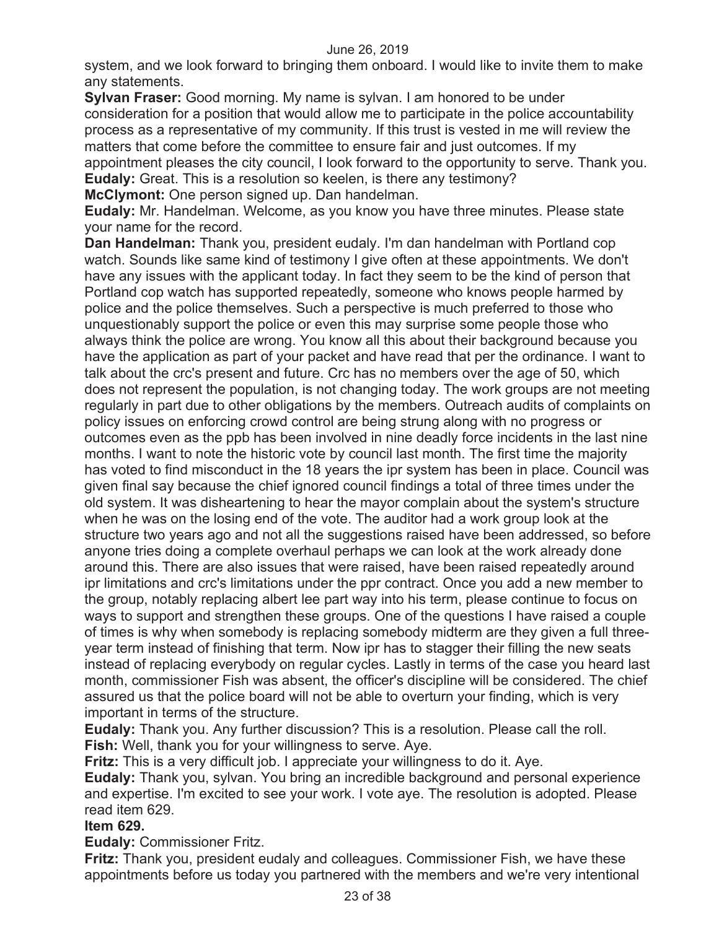system, and we look forward to bringing them onboard. I would like to invite them to make any statements.

**Sylvan Fraser:** Good morning. My name is sylvan. I am honored to be under consideration for a position that would allow me to participate in the police accountability process as a representative of my community. If this trust is vested in me will review the matters that come before the committee to ensure fair and just outcomes. If my appointment pleases the city council, I look forward to the opportunity to serve. Thank you. **Eudaly:** Great. This is a resolution so keelen, is there any testimony? **McClymont:** One person signed up. Dan handelman.

**Eudaly:** Mr. Handelman. Welcome, as you know you have three minutes. Please state your name for the record.

**Dan Handelman:** Thank you, president eudaly. I'm dan handelman with Portland cop watch. Sounds like same kind of testimony I give often at these appointments. We don't have any issues with the applicant today. In fact they seem to be the kind of person that Portland cop watch has supported repeatedly, someone who knows people harmed by police and the police themselves. Such a perspective is much preferred to those who unquestionably support the police or even this may surprise some people those who always think the police are wrong. You know all this about their background because you have the application as part of your packet and have read that per the ordinance. I want to talk about the crc's present and future. Crc has no members over the age of 50, which does not represent the population, is not changing today. The work groups are not meeting regularly in part due to other obligations by the members. Outreach audits of complaints on policy issues on enforcing crowd control are being strung along with no progress or outcomes even as the ppb has been involved in nine deadly force incidents in the last nine months. I want to note the historic vote by council last month. The first time the majority has voted to find misconduct in the 18 years the ipr system has been in place. Council was given final say because the chief ignored council findings a total of three times under the old system. It was disheartening to hear the mayor complain about the system's structure when he was on the losing end of the vote. The auditor had a work group look at the structure two years ago and not all the suggestions raised have been addressed, so before anyone tries doing a complete overhaul perhaps we can look at the work already done around this. There are also issues that were raised, have been raised repeatedly around ipr limitations and crc's limitations under the ppr contract. Once you add a new member to the group, notably replacing albert lee part way into his term, please continue to focus on ways to support and strengthen these groups. One of the questions I have raised a couple of times is why when somebody is replacing somebody midterm are they given a full threeyear term instead of finishing that term. Now ipr has to stagger their filling the new seats instead of replacing everybody on regular cycles. Lastly in terms of the case you heard last month, commissioner Fish was absent, the officer's discipline will be considered. The chief assured us that the police board will not be able to overturn your finding, which is very important in terms of the structure.

**Eudaly:** Thank you. Any further discussion? This is a resolution. Please call the roll. **Fish:** Well, thank you for your willingness to serve. Aye.

**Fritz:** This is a very difficult job. I appreciate your willingness to do it. Aye.

**Eudaly:** Thank you, sylvan. You bring an incredible background and personal experience and expertise. I'm excited to see your work. I vote aye. The resolution is adopted. Please read item 629.

## **Item 629.**

**Eudaly:** Commissioner Fritz.

**Fritz:** Thank you, president eudaly and colleagues. Commissioner Fish, we have these appointments before us today you partnered with the members and we're very intentional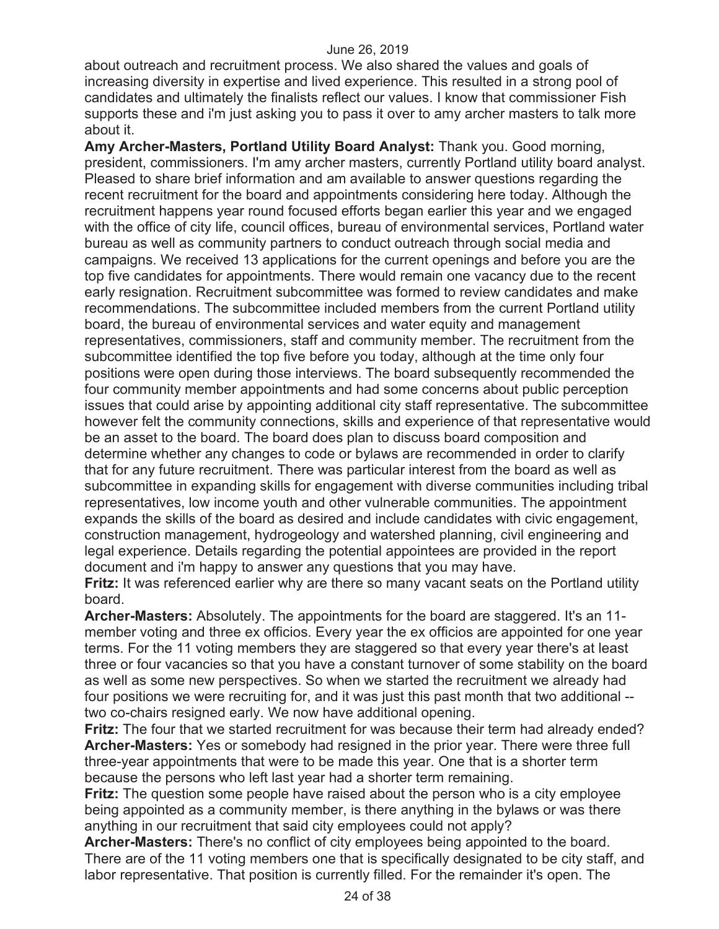about outreach and recruitment process. We also shared the values and goals of increasing diversity in expertise and lived experience. This resulted in a strong pool of candidates and ultimately the finalists reflect our values. I know that commissioner Fish supports these and i'm just asking you to pass it over to amy archer masters to talk more about it.

**Amy Archer-Masters, Portland Utility Board Analyst:** Thank you. Good morning, president, commissioners. I'm amy archer masters, currently Portland utility board analyst. Pleased to share brief information and am available to answer questions regarding the recent recruitment for the board and appointments considering here today. Although the recruitment happens year round focused efforts began earlier this year and we engaged with the office of city life, council offices, bureau of environmental services, Portland water bureau as well as community partners to conduct outreach through social media and campaigns. We received 13 applications for the current openings and before you are the top five candidates for appointments. There would remain one vacancy due to the recent early resignation. Recruitment subcommittee was formed to review candidates and make recommendations. The subcommittee included members from the current Portland utility board, the bureau of environmental services and water equity and management representatives, commissioners, staff and community member. The recruitment from the subcommittee identified the top five before you today, although at the time only four positions were open during those interviews. The board subsequently recommended the four community member appointments and had some concerns about public perception issues that could arise by appointing additional city staff representative. The subcommittee however felt the community connections, skills and experience of that representative would be an asset to the board. The board does plan to discuss board composition and determine whether any changes to code or bylaws are recommended in order to clarify that for any future recruitment. There was particular interest from the board as well as subcommittee in expanding skills for engagement with diverse communities including tribal representatives, low income youth and other vulnerable communities. The appointment expands the skills of the board as desired and include candidates with civic engagement, construction management, hydrogeology and watershed planning, civil engineering and legal experience. Details regarding the potential appointees are provided in the report document and i'm happy to answer any questions that you may have.

**Fritz:** It was referenced earlier why are there so many vacant seats on the Portland utility board.

**Archer-Masters:** Absolutely. The appointments for the board are staggered. It's an 11 member voting and three ex officios. Every year the ex officios are appointed for one year terms. For the 11 voting members they are staggered so that every year there's at least three or four vacancies so that you have a constant turnover of some stability on the board as well as some new perspectives. So when we started the recruitment we already had four positions we were recruiting for, and it was just this past month that two additional - two co-chairs resigned early. We now have additional opening.

**Fritz:** The four that we started recruitment for was because their term had already ended? **Archer-Masters:** Yes or somebody had resigned in the prior year. There were three full three-year appointments that were to be made this year. One that is a shorter term because the persons who left last year had a shorter term remaining.

**Fritz:** The question some people have raised about the person who is a city employee being appointed as a community member, is there anything in the bylaws or was there anything in our recruitment that said city employees could not apply?

**Archer-Masters:** There's no conflict of city employees being appointed to the board. There are of the 11 voting members one that is specifically designated to be city staff, and labor representative. That position is currently filled. For the remainder it's open. The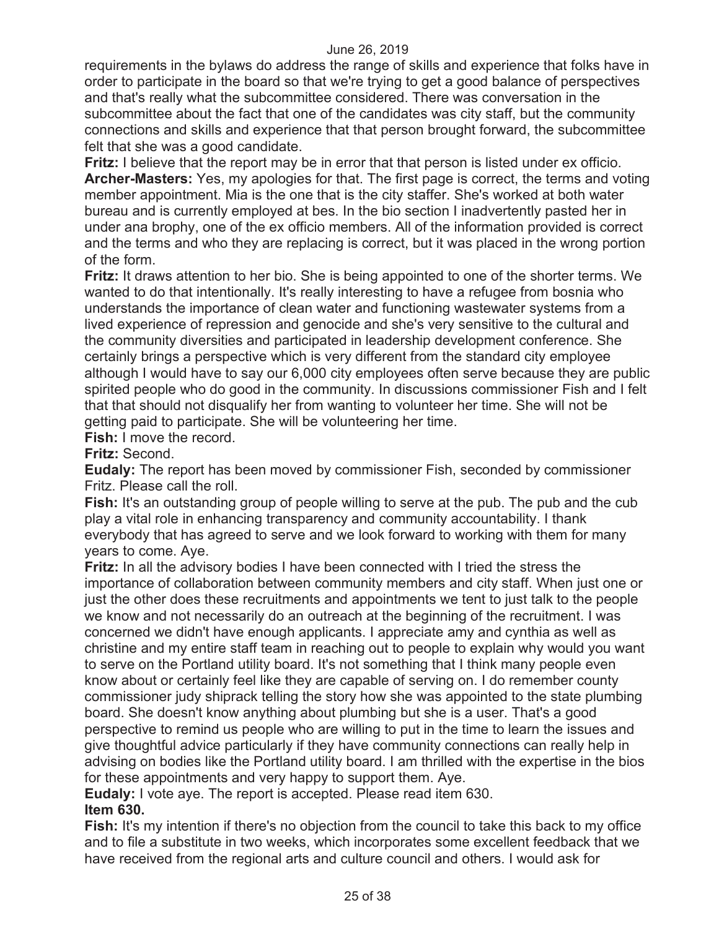requirements in the bylaws do address the range of skills and experience that folks have in order to participate in the board so that we're trying to get a good balance of perspectives and that's really what the subcommittee considered. There was conversation in the subcommittee about the fact that one of the candidates was city staff, but the community connections and skills and experience that that person brought forward, the subcommittee felt that she was a good candidate.

**Fritz:** I believe that the report may be in error that that person is listed under ex officio. **Archer-Masters:** Yes, my apologies for that. The first page is correct, the terms and voting member appointment. Mia is the one that is the city staffer. She's worked at both water bureau and is currently employed at bes. In the bio section I inadvertently pasted her in under ana brophy, one of the ex officio members. All of the information provided is correct and the terms and who they are replacing is correct, but it was placed in the wrong portion of the form.

**Fritz:** It draws attention to her bio. She is being appointed to one of the shorter terms. We wanted to do that intentionally. It's really interesting to have a refugee from bosnia who understands the importance of clean water and functioning wastewater systems from a lived experience of repression and genocide and she's very sensitive to the cultural and the community diversities and participated in leadership development conference. She certainly brings a perspective which is very different from the standard city employee although I would have to say our 6,000 city employees often serve because they are public spirited people who do good in the community. In discussions commissioner Fish and I felt that that should not disqualify her from wanting to volunteer her time. She will not be getting paid to participate. She will be volunteering her time.

**Fish:** I move the record.

**Fritz:** Second.

**Eudaly:** The report has been moved by commissioner Fish, seconded by commissioner Fritz. Please call the roll.

**Fish:** It's an outstanding group of people willing to serve at the pub. The pub and the cub play a vital role in enhancing transparency and community accountability. I thank everybody that has agreed to serve and we look forward to working with them for many years to come. Aye.

**Fritz:** In all the advisory bodies I have been connected with I tried the stress the importance of collaboration between community members and city staff. When just one or just the other does these recruitments and appointments we tent to just talk to the people we know and not necessarily do an outreach at the beginning of the recruitment. I was concerned we didn't have enough applicants. I appreciate amy and cynthia as well as christine and my entire staff team in reaching out to people to explain why would you want to serve on the Portland utility board. It's not something that I think many people even know about or certainly feel like they are capable of serving on. I do remember county commissioner judy shiprack telling the story how she was appointed to the state plumbing board. She doesn't know anything about plumbing but she is a user. That's a good perspective to remind us people who are willing to put in the time to learn the issues and give thoughtful advice particularly if they have community connections can really help in advising on bodies like the Portland utility board. I am thrilled with the expertise in the bios for these appointments and very happy to support them. Aye.

**Eudaly:** I vote aye. The report is accepted. Please read item 630.

## **Item 630.**

**Fish:** It's my intention if there's no objection from the council to take this back to my office and to file a substitute in two weeks, which incorporates some excellent feedback that we have received from the regional arts and culture council and others. I would ask for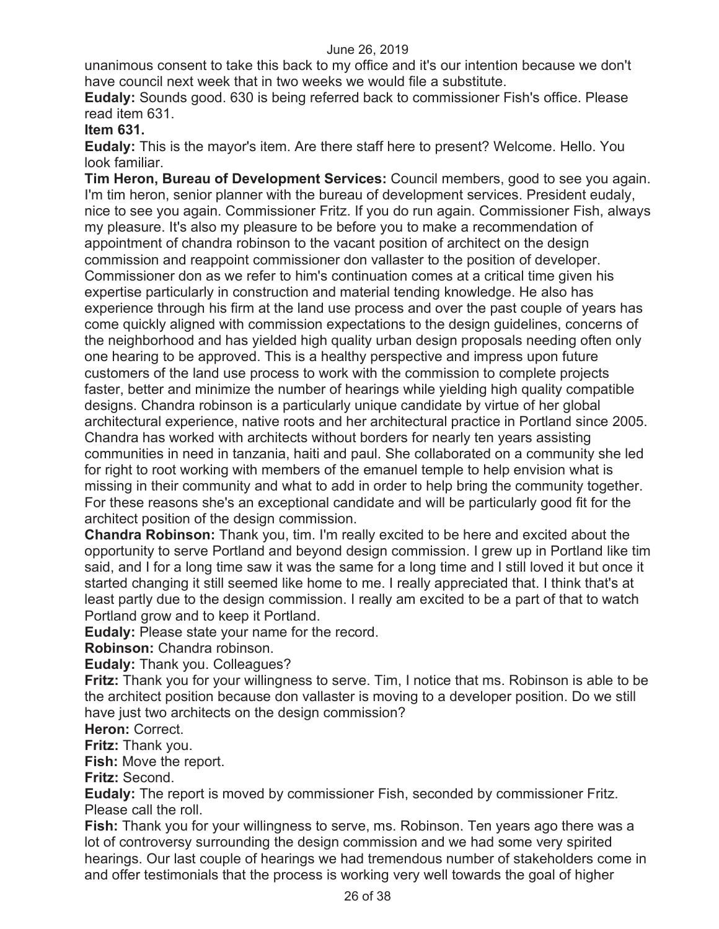unanimous consent to take this back to my office and it's our intention because we don't have council next week that in two weeks we would file a substitute.

**Eudaly:** Sounds good. 630 is being referred back to commissioner Fish's office. Please read item 631.

## **Item 631.**

**Eudaly:** This is the mayor's item. Are there staff here to present? Welcome. Hello. You look familiar.

**Tim Heron, Bureau of Development Services:** Council members, good to see you again. I'm tim heron, senior planner with the bureau of development services. President eudaly, nice to see you again. Commissioner Fritz. If you do run again. Commissioner Fish, always my pleasure. It's also my pleasure to be before you to make a recommendation of appointment of chandra robinson to the vacant position of architect on the design commission and reappoint commissioner don vallaster to the position of developer. Commissioner don as we refer to him's continuation comes at a critical time given his expertise particularly in construction and material tending knowledge. He also has experience through his firm at the land use process and over the past couple of years has come quickly aligned with commission expectations to the design guidelines, concerns of the neighborhood and has yielded high quality urban design proposals needing often only one hearing to be approved. This is a healthy perspective and impress upon future customers of the land use process to work with the commission to complete projects faster, better and minimize the number of hearings while yielding high quality compatible designs. Chandra robinson is a particularly unique candidate by virtue of her global architectural experience, native roots and her architectural practice in Portland since 2005. Chandra has worked with architects without borders for nearly ten years assisting communities in need in tanzania, haiti and paul. She collaborated on a community she led for right to root working with members of the emanuel temple to help envision what is missing in their community and what to add in order to help bring the community together. For these reasons she's an exceptional candidate and will be particularly good fit for the architect position of the design commission.

**Chandra Robinson:** Thank you, tim. I'm really excited to be here and excited about the opportunity to serve Portland and beyond design commission. I grew up in Portland like tim said, and I for a long time saw it was the same for a long time and I still loved it but once it started changing it still seemed like home to me. I really appreciated that. I think that's at least partly due to the design commission. I really am excited to be a part of that to watch Portland grow and to keep it Portland.

**Eudaly:** Please state your name for the record.

**Robinson:** Chandra robinson.

**Eudaly:** Thank you. Colleagues?

**Fritz:** Thank you for your willingness to serve. Tim, I notice that ms. Robinson is able to be the architect position because don vallaster is moving to a developer position. Do we still have just two architects on the design commission?

**Heron:** Correct.

**Fritz:** Thank you.

**Fish:** Move the report.

**Fritz:** Second.

**Eudaly:** The report is moved by commissioner Fish, seconded by commissioner Fritz. Please call the roll.

**Fish:** Thank you for your willingness to serve, ms. Robinson. Ten years ago there was a lot of controversy surrounding the design commission and we had some very spirited hearings. Our last couple of hearings we had tremendous number of stakeholders come in and offer testimonials that the process is working very well towards the goal of higher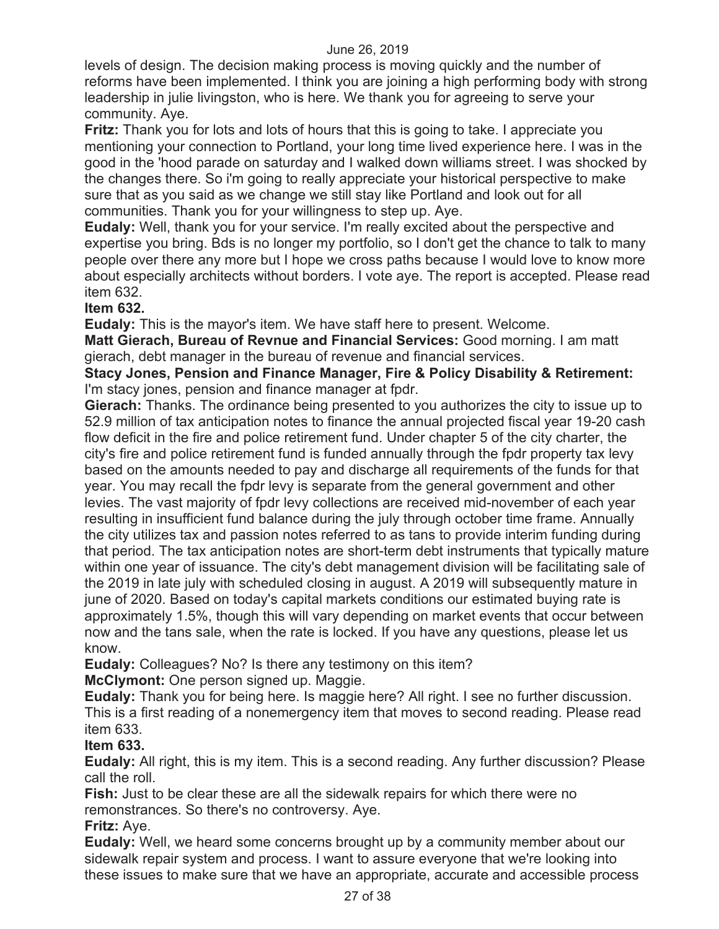levels of design. The decision making process is moving quickly and the number of reforms have been implemented. I think you are joining a high performing body with strong leadership in julie livingston, who is here. We thank you for agreeing to serve your community. Aye.

**Fritz:** Thank you for lots and lots of hours that this is going to take. I appreciate you mentioning your connection to Portland, your long time lived experience here. I was in the good in the 'hood parade on saturday and I walked down williams street. I was shocked by the changes there. So i'm going to really appreciate your historical perspective to make sure that as you said as we change we still stay like Portland and look out for all communities. Thank you for your willingness to step up. Aye.

**Eudaly:** Well, thank you for your service. I'm really excited about the perspective and expertise you bring. Bds is no longer my portfolio, so I don't get the chance to talk to many people over there any more but I hope we cross paths because I would love to know more about especially architects without borders. I vote aye. The report is accepted. Please read item 632.

## **Item 632.**

**Eudaly:** This is the mayor's item. We have staff here to present. Welcome.

**Matt Gierach, Bureau of Revnue and Financial Services:** Good morning. I am matt gierach, debt manager in the bureau of revenue and financial services.

**Stacy Jones, Pension and Finance Manager, Fire & Policy Disability & Retirement:**  I'm stacy jones, pension and finance manager at fpdr.

**Gierach:** Thanks. The ordinance being presented to you authorizes the city to issue up to 52.9 million of tax anticipation notes to finance the annual projected fiscal year 19-20 cash flow deficit in the fire and police retirement fund. Under chapter 5 of the city charter, the city's fire and police retirement fund is funded annually through the fpdr property tax levy based on the amounts needed to pay and discharge all requirements of the funds for that year. You may recall the fpdr levy is separate from the general government and other levies. The vast majority of fpdr levy collections are received mid-november of each year resulting in insufficient fund balance during the july through october time frame. Annually the city utilizes tax and passion notes referred to as tans to provide interim funding during that period. The tax anticipation notes are short-term debt instruments that typically mature within one year of issuance. The city's debt management division will be facilitating sale of the 2019 in late july with scheduled closing in august. A 2019 will subsequently mature in june of 2020. Based on today's capital markets conditions our estimated buying rate is approximately 1.5%, though this will vary depending on market events that occur between now and the tans sale, when the rate is locked. If you have any questions, please let us know.

**Eudaly:** Colleagues? No? Is there any testimony on this item?

**McClymont:** One person signed up. Maggie.

**Eudaly:** Thank you for being here. Is maggie here? All right. I see no further discussion. This is a first reading of a nonemergency item that moves to second reading. Please read item 633.

## **Item 633.**

**Eudaly:** All right, this is my item. This is a second reading. Any further discussion? Please call the roll.

**Fish:** Just to be clear these are all the sidewalk repairs for which there were no remonstrances. So there's no controversy. Aye.

#### **Fritz:** Aye.

**Eudaly:** Well, we heard some concerns brought up by a community member about our sidewalk repair system and process. I want to assure everyone that we're looking into these issues to make sure that we have an appropriate, accurate and accessible process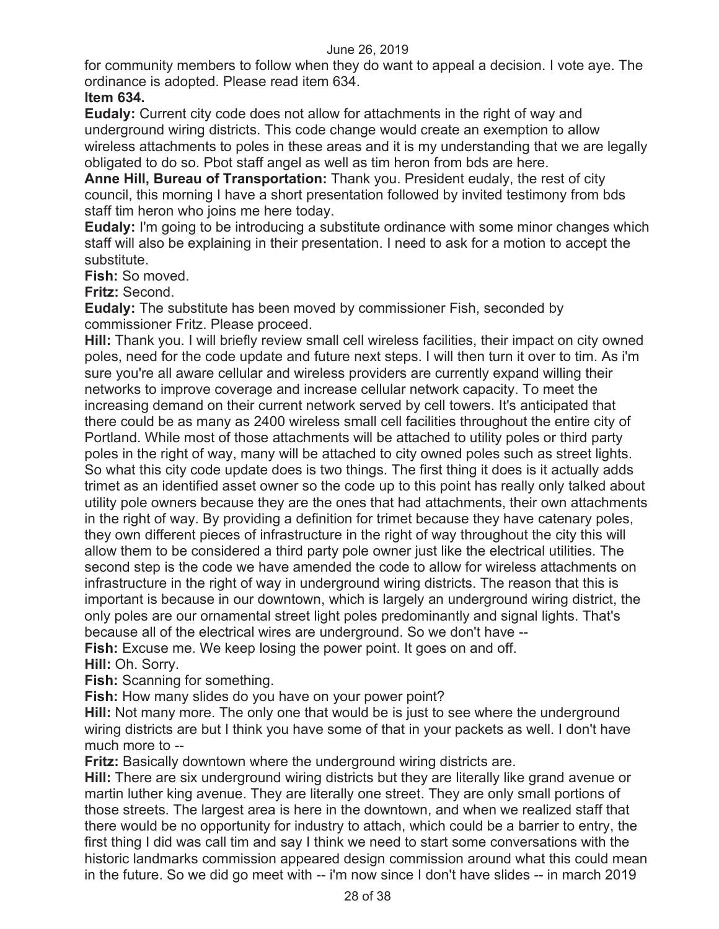for community members to follow when they do want to appeal a decision. I vote aye. The ordinance is adopted. Please read item 634.

## **Item 634.**

**Eudaly:** Current city code does not allow for attachments in the right of way and underground wiring districts. This code change would create an exemption to allow wireless attachments to poles in these areas and it is my understanding that we are legally obligated to do so. Pbot staff angel as well as tim heron from bds are here.

**Anne Hill, Bureau of Transportation:** Thank you. President eudaly, the rest of city council, this morning I have a short presentation followed by invited testimony from bds staff tim heron who joins me here today.

**Eudaly:** I'm going to be introducing a substitute ordinance with some minor changes which staff will also be explaining in their presentation. I need to ask for a motion to accept the substitute.

**Fish:** So moved.

**Fritz:** Second.

**Eudaly:** The substitute has been moved by commissioner Fish, seconded by commissioner Fritz. Please proceed.

**Hill:** Thank you. I will briefly review small cell wireless facilities, their impact on city owned poles, need for the code update and future next steps. I will then turn it over to tim. As i'm sure you're all aware cellular and wireless providers are currently expand willing their networks to improve coverage and increase cellular network capacity. To meet the increasing demand on their current network served by cell towers. It's anticipated that there could be as many as 2400 wireless small cell facilities throughout the entire city of Portland. While most of those attachments will be attached to utility poles or third party poles in the right of way, many will be attached to city owned poles such as street lights. So what this city code update does is two things. The first thing it does is it actually adds trimet as an identified asset owner so the code up to this point has really only talked about utility pole owners because they are the ones that had attachments, their own attachments in the right of way. By providing a definition for trimet because they have catenary poles, they own different pieces of infrastructure in the right of way throughout the city this will allow them to be considered a third party pole owner just like the electrical utilities. The second step is the code we have amended the code to allow for wireless attachments on infrastructure in the right of way in underground wiring districts. The reason that this is important is because in our downtown, which is largely an underground wiring district, the only poles are our ornamental street light poles predominantly and signal lights. That's because all of the electrical wires are underground. So we don't have --

**Fish:** Excuse me. We keep losing the power point. It goes on and off.

**Hill:** Oh. Sorry.

**Fish:** Scanning for something.

**Fish:** How many slides do you have on your power point?

**Hill:** Not many more. The only one that would be is just to see where the underground wiring districts are but I think you have some of that in your packets as well. I don't have much more to --

**Fritz:** Basically downtown where the underground wiring districts are.

**Hill:** There are six underground wiring districts but they are literally like grand avenue or martin luther king avenue. They are literally one street. They are only small portions of those streets. The largest area is here in the downtown, and when we realized staff that there would be no opportunity for industry to attach, which could be a barrier to entry, the first thing I did was call tim and say I think we need to start some conversations with the historic landmarks commission appeared design commission around what this could mean in the future. So we did go meet with -- i'm now since I don't have slides -- in march 2019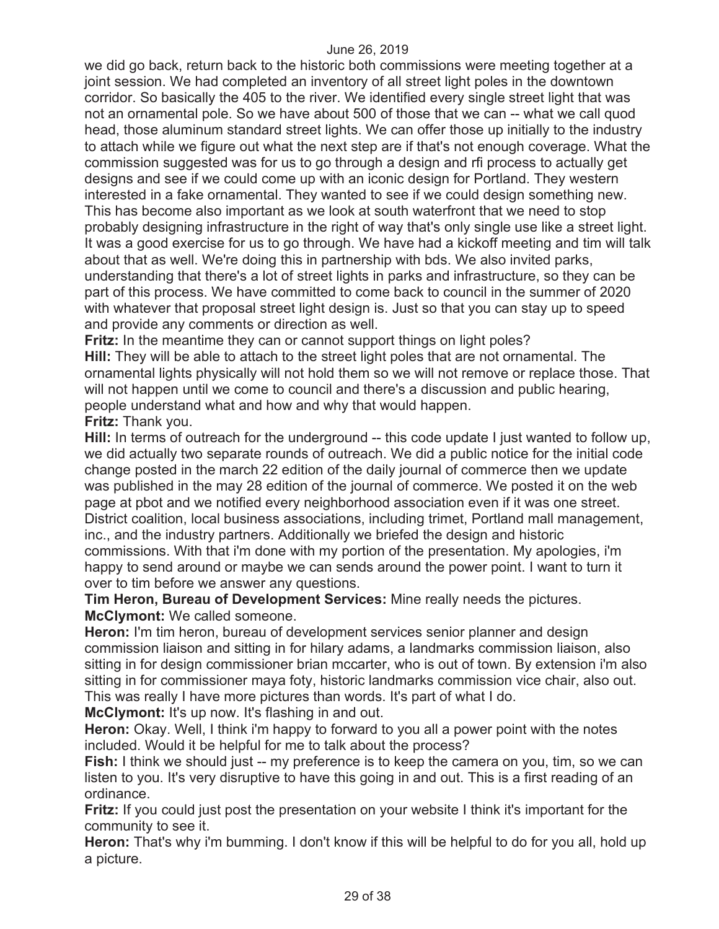we did go back, return back to the historic both commissions were meeting together at a joint session. We had completed an inventory of all street light poles in the downtown corridor. So basically the 405 to the river. We identified every single street light that was not an ornamental pole. So we have about 500 of those that we can -- what we call quod head, those aluminum standard street lights. We can offer those up initially to the industry to attach while we figure out what the next step are if that's not enough coverage. What the commission suggested was for us to go through a design and rfi process to actually get designs and see if we could come up with an iconic design for Portland. They western interested in a fake ornamental. They wanted to see if we could design something new. This has become also important as we look at south waterfront that we need to stop probably designing infrastructure in the right of way that's only single use like a street light. It was a good exercise for us to go through. We have had a kickoff meeting and tim will talk about that as well. We're doing this in partnership with bds. We also invited parks, understanding that there's a lot of street lights in parks and infrastructure, so they can be part of this process. We have committed to come back to council in the summer of 2020 with whatever that proposal street light design is. Just so that you can stay up to speed and provide any comments or direction as well.

**Fritz:** In the meantime they can or cannot support things on light poles?

**Hill:** They will be able to attach to the street light poles that are not ornamental. The ornamental lights physically will not hold them so we will not remove or replace those. That will not happen until we come to council and there's a discussion and public hearing, people understand what and how and why that would happen.

## **Fritz:** Thank you.

**Hill:** In terms of outreach for the underground -- this code update I just wanted to follow up, we did actually two separate rounds of outreach. We did a public notice for the initial code change posted in the march 22 edition of the daily journal of commerce then we update was published in the may 28 edition of the journal of commerce. We posted it on the web page at pbot and we notified every neighborhood association even if it was one street. District coalition, local business associations, including trimet, Portland mall management, inc., and the industry partners. Additionally we briefed the design and historic commissions. With that i'm done with my portion of the presentation. My apologies, i'm happy to send around or maybe we can sends around the power point. I want to turn it over to tim before we answer any questions.

**Tim Heron, Bureau of Development Services:** Mine really needs the pictures. **McClymont:** We called someone.

**Heron:** I'm tim heron, bureau of development services senior planner and design commission liaison and sitting in for hilary adams, a landmarks commission liaison, also sitting in for design commissioner brian mccarter, who is out of town. By extension i'm also sitting in for commissioner maya foty, historic landmarks commission vice chair, also out. This was really I have more pictures than words. It's part of what I do.

**McClymont:** It's up now. It's flashing in and out.

**Heron:** Okay. Well, I think i'm happy to forward to you all a power point with the notes included. Would it be helpful for me to talk about the process?

**Fish:** I think we should just -- my preference is to keep the camera on you, tim, so we can listen to you. It's very disruptive to have this going in and out. This is a first reading of an ordinance.

**Fritz:** If you could just post the presentation on your website I think it's important for the community to see it.

**Heron:** That's why i'm bumming. I don't know if this will be helpful to do for you all, hold up a picture.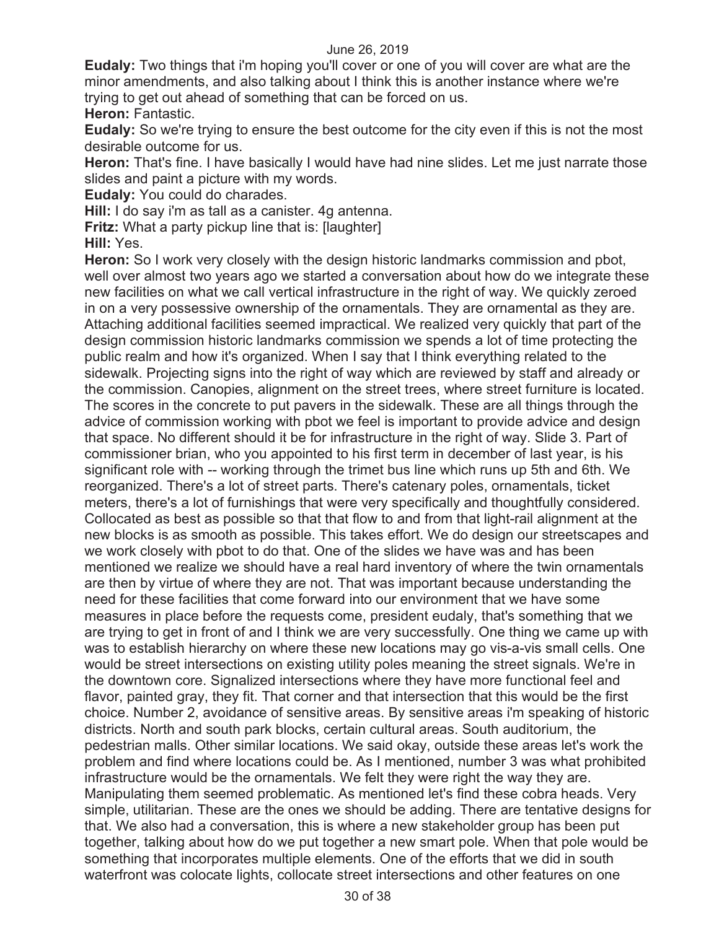**Eudaly:** Two things that i'm hoping you'll cover or one of you will cover are what are the minor amendments, and also talking about I think this is another instance where we're trying to get out ahead of something that can be forced on us.

**Heron:** Fantastic.

**Eudaly:** So we're trying to ensure the best outcome for the city even if this is not the most desirable outcome for us.

**Heron:** That's fine. I have basically I would have had nine slides. Let me just narrate those slides and paint a picture with my words.

**Eudaly:** You could do charades.

**Hill:** I do say i'm as tall as a canister. 4g antenna.

**Fritz:** What a party pickup line that is: [laughter]

**Hill:** Yes.

**Heron:** So I work very closely with the design historic landmarks commission and pbot, well over almost two years ago we started a conversation about how do we integrate these new facilities on what we call vertical infrastructure in the right of way. We quickly zeroed in on a very possessive ownership of the ornamentals. They are ornamental as they are. Attaching additional facilities seemed impractical. We realized very quickly that part of the design commission historic landmarks commission we spends a lot of time protecting the public realm and how it's organized. When I say that I think everything related to the sidewalk. Projecting signs into the right of way which are reviewed by staff and already or the commission. Canopies, alignment on the street trees, where street furniture is located. The scores in the concrete to put pavers in the sidewalk. These are all things through the advice of commission working with pbot we feel is important to provide advice and design that space. No different should it be for infrastructure in the right of way. Slide 3. Part of commissioner brian, who you appointed to his first term in december of last year, is his significant role with -- working through the trimet bus line which runs up 5th and 6th. We reorganized. There's a lot of street parts. There's catenary poles, ornamentals, ticket meters, there's a lot of furnishings that were very specifically and thoughtfully considered. Collocated as best as possible so that that flow to and from that light-rail alignment at the new blocks is as smooth as possible. This takes effort. We do design our streetscapes and we work closely with pbot to do that. One of the slides we have was and has been mentioned we realize we should have a real hard inventory of where the twin ornamentals are then by virtue of where they are not. That was important because understanding the need for these facilities that come forward into our environment that we have some measures in place before the requests come, president eudaly, that's something that we are trying to get in front of and I think we are very successfully. One thing we came up with was to establish hierarchy on where these new locations may go vis-a-vis small cells. One would be street intersections on existing utility poles meaning the street signals. We're in the downtown core. Signalized intersections where they have more functional feel and flavor, painted gray, they fit. That corner and that intersection that this would be the first choice. Number 2, avoidance of sensitive areas. By sensitive areas i'm speaking of historic districts. North and south park blocks, certain cultural areas. South auditorium, the pedestrian malls. Other similar locations. We said okay, outside these areas let's work the problem and find where locations could be. As I mentioned, number 3 was what prohibited infrastructure would be the ornamentals. We felt they were right the way they are. Manipulating them seemed problematic. As mentioned let's find these cobra heads. Very simple, utilitarian. These are the ones we should be adding. There are tentative designs for that. We also had a conversation, this is where a new stakeholder group has been put together, talking about how do we put together a new smart pole. When that pole would be something that incorporates multiple elements. One of the efforts that we did in south waterfront was colocate lights, collocate street intersections and other features on one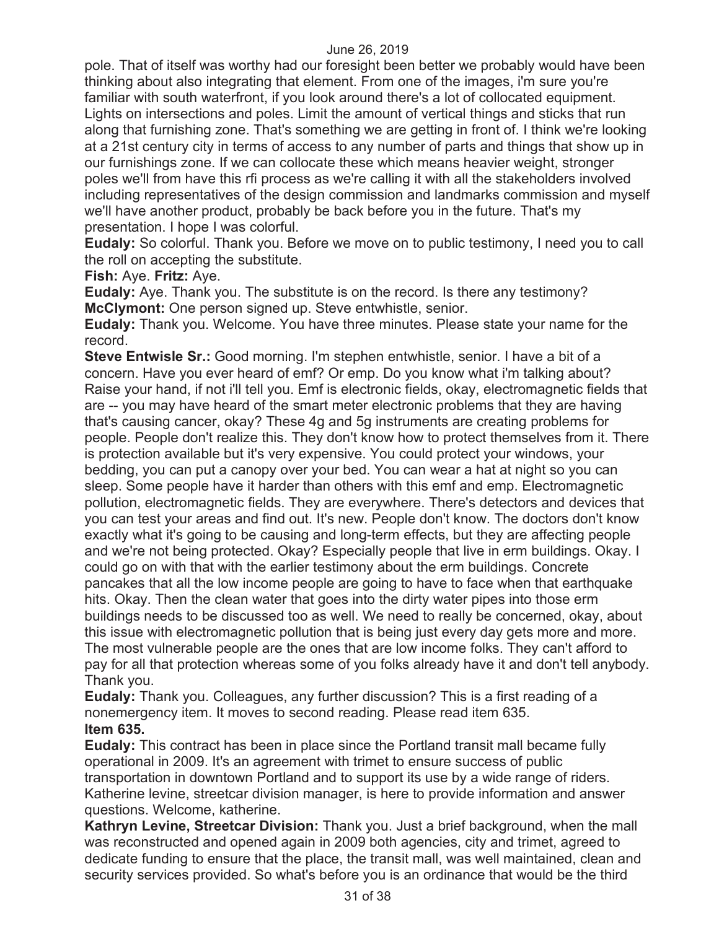pole. That of itself was worthy had our foresight been better we probably would have been thinking about also integrating that element. From one of the images, i'm sure you're familiar with south waterfront, if you look around there's a lot of collocated equipment. Lights on intersections and poles. Limit the amount of vertical things and sticks that run along that furnishing zone. That's something we are getting in front of. I think we're looking at a 21st century city in terms of access to any number of parts and things that show up in our furnishings zone. If we can collocate these which means heavier weight, stronger poles we'll from have this rfi process as we're calling it with all the stakeholders involved including representatives of the design commission and landmarks commission and myself we'll have another product, probably be back before you in the future. That's my presentation. I hope I was colorful.

**Eudaly:** So colorful. Thank you. Before we move on to public testimony, I need you to call the roll on accepting the substitute.

**Fish:** Aye. **Fritz:** Aye.

**Eudaly:** Aye. Thank you. The substitute is on the record. Is there any testimony? **McClymont:** One person signed up. Steve entwhistle, senior.

**Eudaly:** Thank you. Welcome. You have three minutes. Please state your name for the record.

**Steve Entwisle Sr.:** Good morning. I'm stephen entwhistle, senior. I have a bit of a concern. Have you ever heard of emf? Or emp. Do you know what i'm talking about? Raise your hand, if not i'll tell you. Emf is electronic fields, okay, electromagnetic fields that are -- you may have heard of the smart meter electronic problems that they are having that's causing cancer, okay? These 4g and 5g instruments are creating problems for people. People don't realize this. They don't know how to protect themselves from it. There is protection available but it's very expensive. You could protect your windows, your bedding, you can put a canopy over your bed. You can wear a hat at night so you can sleep. Some people have it harder than others with this emf and emp. Electromagnetic pollution, electromagnetic fields. They are everywhere. There's detectors and devices that you can test your areas and find out. It's new. People don't know. The doctors don't know exactly what it's going to be causing and long-term effects, but they are affecting people and we're not being protected. Okay? Especially people that live in erm buildings. Okay. I could go on with that with the earlier testimony about the erm buildings. Concrete pancakes that all the low income people are going to have to face when that earthquake hits. Okay. Then the clean water that goes into the dirty water pipes into those erm buildings needs to be discussed too as well. We need to really be concerned, okay, about this issue with electromagnetic pollution that is being just every day gets more and more. The most vulnerable people are the ones that are low income folks. They can't afford to pay for all that protection whereas some of you folks already have it and don't tell anybody. Thank you.

**Eudaly:** Thank you. Colleagues, any further discussion? This is a first reading of a nonemergency item. It moves to second reading. Please read item 635. **Item 635.** 

**Eudaly:** This contract has been in place since the Portland transit mall became fully operational in 2009. It's an agreement with trimet to ensure success of public transportation in downtown Portland and to support its use by a wide range of riders. Katherine levine, streetcar division manager, is here to provide information and answer questions. Welcome, katherine.

**Kathryn Levine, Streetcar Division:** Thank you. Just a brief background, when the mall was reconstructed and opened again in 2009 both agencies, city and trimet, agreed to dedicate funding to ensure that the place, the transit mall, was well maintained, clean and security services provided. So what's before you is an ordinance that would be the third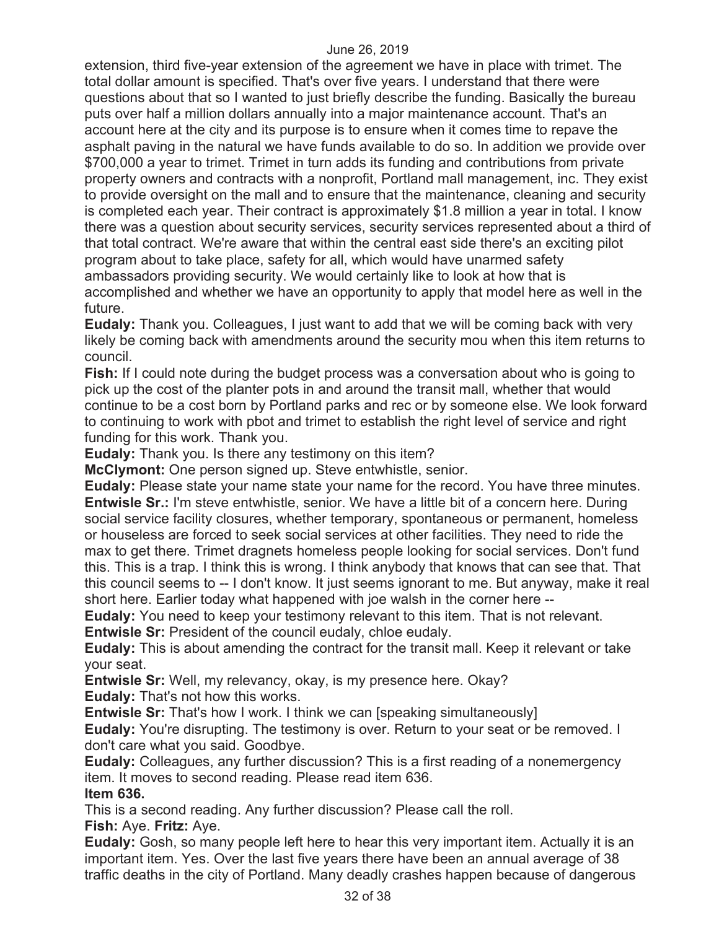extension, third five-year extension of the agreement we have in place with trimet. The total dollar amount is specified. That's over five years. I understand that there were questions about that so I wanted to just briefly describe the funding. Basically the bureau puts over half a million dollars annually into a major maintenance account. That's an account here at the city and its purpose is to ensure when it comes time to repave the asphalt paving in the natural we have funds available to do so. In addition we provide over \$700,000 a year to trimet. Trimet in turn adds its funding and contributions from private property owners and contracts with a nonprofit, Portland mall management, inc. They exist to provide oversight on the mall and to ensure that the maintenance, cleaning and security is completed each year. Their contract is approximately \$1.8 million a year in total. I know there was a question about security services, security services represented about a third of that total contract. We're aware that within the central east side there's an exciting pilot program about to take place, safety for all, which would have unarmed safety ambassadors providing security. We would certainly like to look at how that is accomplished and whether we have an opportunity to apply that model here as well in the future.

**Eudaly:** Thank you. Colleagues, I just want to add that we will be coming back with very likely be coming back with amendments around the security mou when this item returns to council.

**Fish:** If I could note during the budget process was a conversation about who is going to pick up the cost of the planter pots in and around the transit mall, whether that would continue to be a cost born by Portland parks and rec or by someone else. We look forward to continuing to work with pbot and trimet to establish the right level of service and right funding for this work. Thank you.

**Eudaly:** Thank you. Is there any testimony on this item?

**McClymont:** One person signed up. Steve entwhistle, senior.

**Eudaly:** Please state your name state your name for the record. You have three minutes. **Entwisle Sr.:** I'm steve entwhistle, senior. We have a little bit of a concern here. During social service facility closures, whether temporary, spontaneous or permanent, homeless or houseless are forced to seek social services at other facilities. They need to ride the max to get there. Trimet dragnets homeless people looking for social services. Don't fund this. This is a trap. I think this is wrong. I think anybody that knows that can see that. That this council seems to -- I don't know. It just seems ignorant to me. But anyway, make it real short here. Earlier today what happened with joe walsh in the corner here --

**Eudaly:** You need to keep your testimony relevant to this item. That is not relevant.

**Entwisle Sr:** President of the council eudaly, chloe eudaly.

**Eudaly:** This is about amending the contract for the transit mall. Keep it relevant or take your seat.

**Entwisle Sr:** Well, my relevancy, okay, is my presence here. Okay? **Eudaly:** That's not how this works.

**Entwisle Sr:** That's how I work. I think we can [speaking simultaneously]

**Eudaly:** You're disrupting. The testimony is over. Return to your seat or be removed. I don't care what you said. Goodbye.

**Eudaly:** Colleagues, any further discussion? This is a first reading of a nonemergency item. It moves to second reading. Please read item 636.

**Item 636.** 

This is a second reading. Any further discussion? Please call the roll. **Fish:** Aye. **Fritz:** Aye.

**Eudaly:** Gosh, so many people left here to hear this very important item. Actually it is an important item. Yes. Over the last five years there have been an annual average of 38 traffic deaths in the city of Portland. Many deadly crashes happen because of dangerous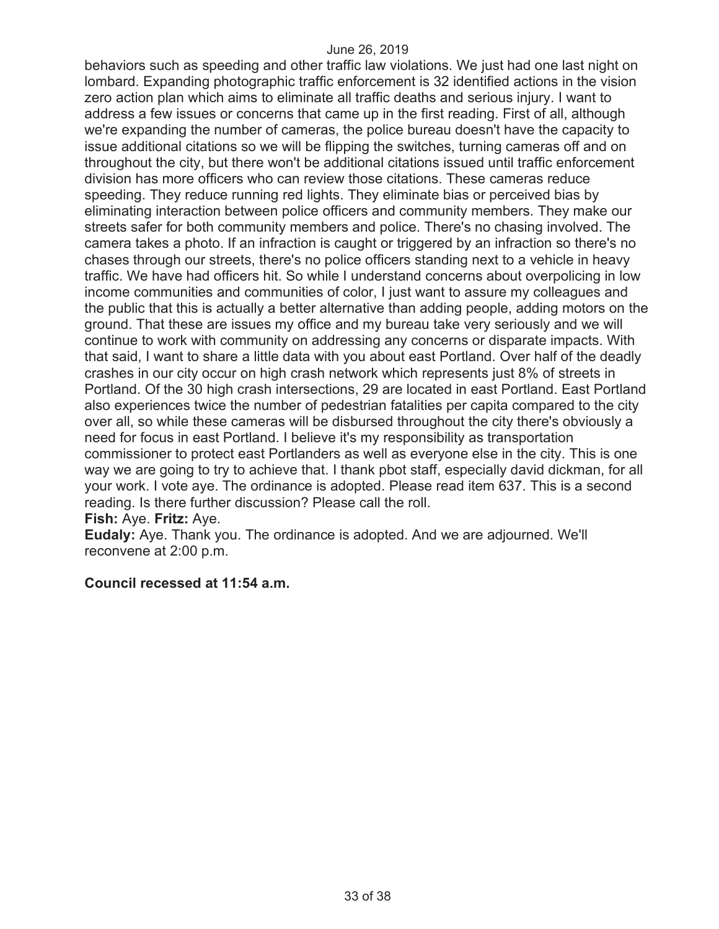behaviors such as speeding and other traffic law violations. We just had one last night on lombard. Expanding photographic traffic enforcement is 32 identified actions in the vision zero action plan which aims to eliminate all traffic deaths and serious injury. I want to address a few issues or concerns that came up in the first reading. First of all, although we're expanding the number of cameras, the police bureau doesn't have the capacity to issue additional citations so we will be flipping the switches, turning cameras off and on throughout the city, but there won't be additional citations issued until traffic enforcement division has more officers who can review those citations. These cameras reduce speeding. They reduce running red lights. They eliminate bias or perceived bias by eliminating interaction between police officers and community members. They make our streets safer for both community members and police. There's no chasing involved. The camera takes a photo. If an infraction is caught or triggered by an infraction so there's no chases through our streets, there's no police officers standing next to a vehicle in heavy traffic. We have had officers hit. So while I understand concerns about overpolicing in low income communities and communities of color, I just want to assure my colleagues and the public that this is actually a better alternative than adding people, adding motors on the ground. That these are issues my office and my bureau take very seriously and we will continue to work with community on addressing any concerns or disparate impacts. With that said, I want to share a little data with you about east Portland. Over half of the deadly crashes in our city occur on high crash network which represents just 8% of streets in Portland. Of the 30 high crash intersections, 29 are located in east Portland. East Portland also experiences twice the number of pedestrian fatalities per capita compared to the city over all, so while these cameras will be disbursed throughout the city there's obviously a need for focus in east Portland. I believe it's my responsibility as transportation commissioner to protect east Portlanders as well as everyone else in the city. This is one way we are going to try to achieve that. I thank pbot staff, especially david dickman, for all your work. I vote aye. The ordinance is adopted. Please read item 637. This is a second reading. Is there further discussion? Please call the roll. **Fish:** Aye. **Fritz:** Aye.

**Eudaly:** Aye. Thank you. The ordinance is adopted. And we are adjourned. We'll reconvene at 2:00 p.m.

#### **Council recessed at 11:54 a.m.**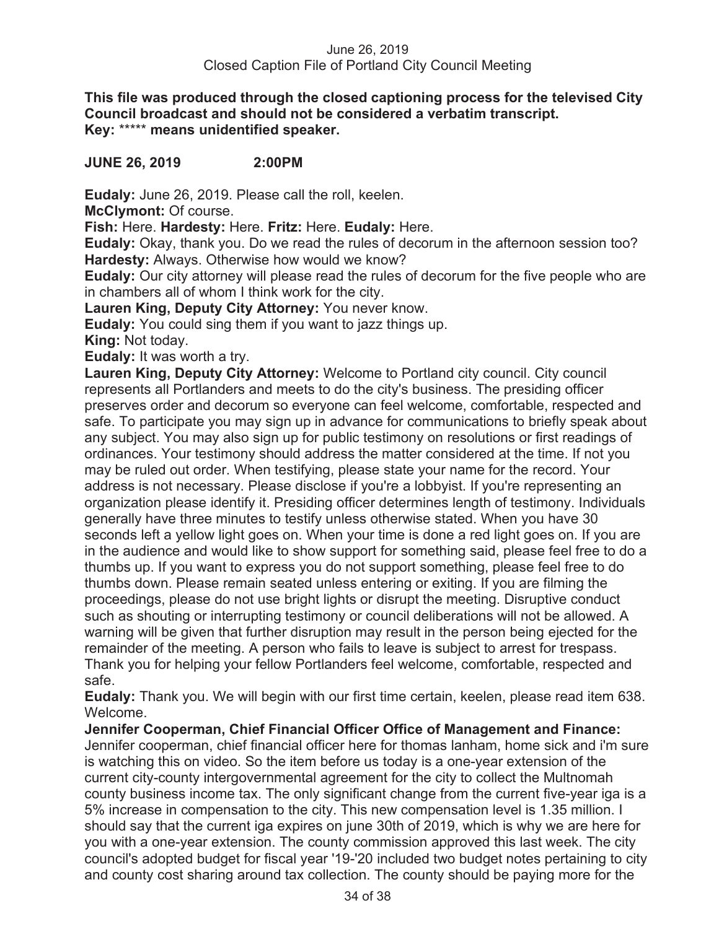#### June 26, 2019 Closed Caption File of Portland City Council Meeting

**This file was produced through the closed captioning process for the televised City Council broadcast and should not be considered a verbatim transcript. Key:** \*\*\*\*\* **means unidentified speaker.** 

## **JUNE 26, 2019 2:00PM**

**Eudaly:** June 26, 2019. Please call the roll, keelen.

**McClymont:** Of course.

**Fish:** Here. **Hardesty:** Here. **Fritz:** Here. **Eudaly:** Here.

**Eudaly:** Okay, thank you. Do we read the rules of decorum in the afternoon session too? **Hardesty:** Always. Otherwise how would we know?

**Eudaly:** Our city attorney will please read the rules of decorum for the five people who are in chambers all of whom I think work for the city.

**Lauren King, Deputy City Attorney:** You never know.

**Eudaly:** You could sing them if you want to jazz things up.

**King:** Not today.

**Eudaly:** It was worth a try.

**Lauren King, Deputy City Attorney:** Welcome to Portland city council. City council represents all Portlanders and meets to do the city's business. The presiding officer preserves order and decorum so everyone can feel welcome, comfortable, respected and safe. To participate you may sign up in advance for communications to briefly speak about any subject. You may also sign up for public testimony on resolutions or first readings of ordinances. Your testimony should address the matter considered at the time. If not you may be ruled out order. When testifying, please state your name for the record. Your address is not necessary. Please disclose if you're a lobbyist. If you're representing an organization please identify it. Presiding officer determines length of testimony. Individuals generally have three minutes to testify unless otherwise stated. When you have 30 seconds left a yellow light goes on. When your time is done a red light goes on. If you are in the audience and would like to show support for something said, please feel free to do a thumbs up. If you want to express you do not support something, please feel free to do thumbs down. Please remain seated unless entering or exiting. If you are filming the proceedings, please do not use bright lights or disrupt the meeting. Disruptive conduct such as shouting or interrupting testimony or council deliberations will not be allowed. A warning will be given that further disruption may result in the person being ejected for the remainder of the meeting. A person who fails to leave is subject to arrest for trespass. Thank you for helping your fellow Portlanders feel welcome, comfortable, respected and safe.

**Eudaly:** Thank you. We will begin with our first time certain, keelen, please read item 638. Welcome.

**Jennifer Cooperman, Chief Financial Officer Office of Management and Finance:**  Jennifer cooperman, chief financial officer here for thomas lanham, home sick and i'm sure is watching this on video. So the item before us today is a one-year extension of the current city-county intergovernmental agreement for the city to collect the Multnomah county business income tax. The only significant change from the current five-year iga is a 5% increase in compensation to the city. This new compensation level is 1.35 million. I should say that the current iga expires on june 30th of 2019, which is why we are here for you with a one-year extension. The county commission approved this last week. The city council's adopted budget for fiscal year '19-'20 included two budget notes pertaining to city and county cost sharing around tax collection. The county should be paying more for the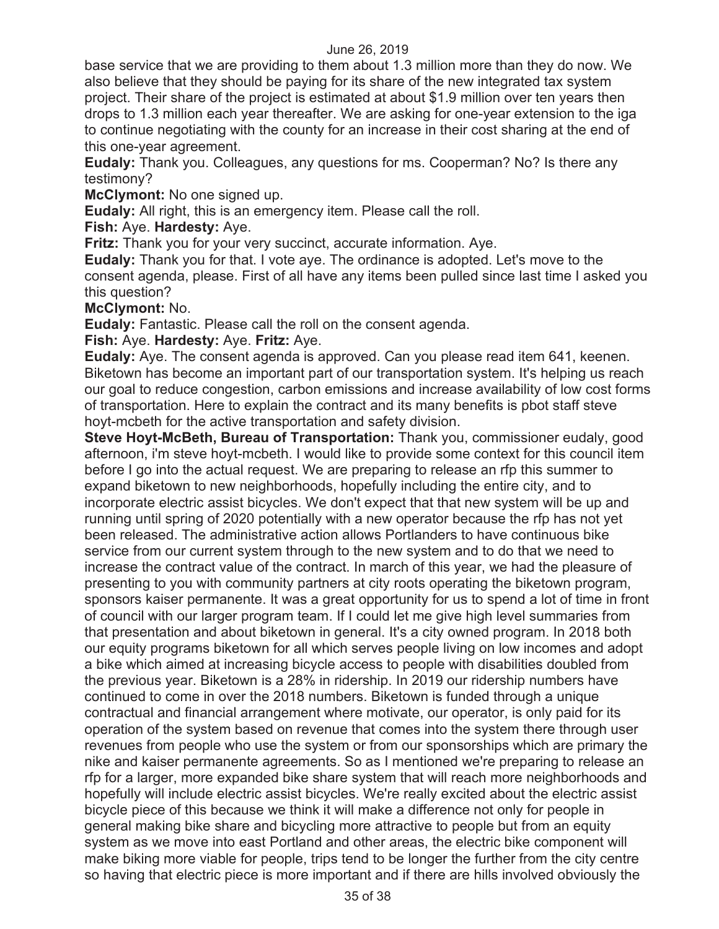base service that we are providing to them about 1.3 million more than they do now. We also believe that they should be paying for its share of the new integrated tax system project. Their share of the project is estimated at about \$1.9 million over ten years then drops to 1.3 million each year thereafter. We are asking for one-year extension to the iga to continue negotiating with the county for an increase in their cost sharing at the end of this one-year agreement.

**Eudaly:** Thank you. Colleagues, any questions for ms. Cooperman? No? Is there any testimony?

**McClymont:** No one signed up.

**Eudaly:** All right, this is an emergency item. Please call the roll.

**Fish:** Aye. **Hardesty:** Aye.

**Fritz:** Thank you for your very succinct, accurate information. Aye.

**Eudaly:** Thank you for that. I vote aye. The ordinance is adopted. Let's move to the consent agenda, please. First of all have any items been pulled since last time I asked you this question?

#### **McClymont:** No.

**Eudaly:** Fantastic. Please call the roll on the consent agenda.

## **Fish:** Aye. **Hardesty:** Aye. **Fritz:** Aye.

**Eudaly:** Aye. The consent agenda is approved. Can you please read item 641, keenen. Biketown has become an important part of our transportation system. It's helping us reach our goal to reduce congestion, carbon emissions and increase availability of low cost forms of transportation. Here to explain the contract and its many benefits is pbot staff steve hoyt-mcbeth for the active transportation and safety division.

**Steve Hoyt-McBeth, Bureau of Transportation:** Thank you, commissioner eudaly, good afternoon, i'm steve hoyt-mcbeth. I would like to provide some context for this council item before I go into the actual request. We are preparing to release an rfp this summer to expand biketown to new neighborhoods, hopefully including the entire city, and to incorporate electric assist bicycles. We don't expect that that new system will be up and running until spring of 2020 potentially with a new operator because the rfp has not yet been released. The administrative action allows Portlanders to have continuous bike service from our current system through to the new system and to do that we need to increase the contract value of the contract. In march of this year, we had the pleasure of presenting to you with community partners at city roots operating the biketown program, sponsors kaiser permanente. It was a great opportunity for us to spend a lot of time in front of council with our larger program team. If I could let me give high level summaries from that presentation and about biketown in general. It's a city owned program. In 2018 both our equity programs biketown for all which serves people living on low incomes and adopt a bike which aimed at increasing bicycle access to people with disabilities doubled from the previous year. Biketown is a 28% in ridership. In 2019 our ridership numbers have continued to come in over the 2018 numbers. Biketown is funded through a unique contractual and financial arrangement where motivate, our operator, is only paid for its operation of the system based on revenue that comes into the system there through user revenues from people who use the system or from our sponsorships which are primary the nike and kaiser permanente agreements. So as I mentioned we're preparing to release an rfp for a larger, more expanded bike share system that will reach more neighborhoods and hopefully will include electric assist bicycles. We're really excited about the electric assist bicycle piece of this because we think it will make a difference not only for people in general making bike share and bicycling more attractive to people but from an equity system as we move into east Portland and other areas, the electric bike component will make biking more viable for people, trips tend to be longer the further from the city centre so having that electric piece is more important and if there are hills involved obviously the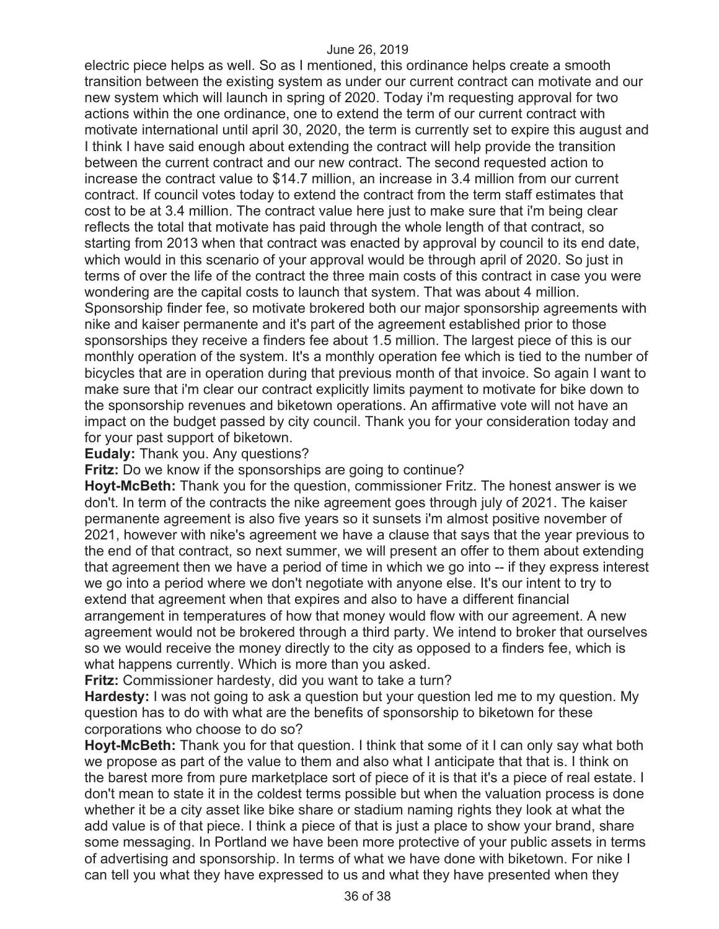electric piece helps as well. So as I mentioned, this ordinance helps create a smooth transition between the existing system as under our current contract can motivate and our new system which will launch in spring of 2020. Today i'm requesting approval for two actions within the one ordinance, one to extend the term of our current contract with motivate international until april 30, 2020, the term is currently set to expire this august and I think I have said enough about extending the contract will help provide the transition between the current contract and our new contract. The second requested action to increase the contract value to \$14.7 million, an increase in 3.4 million from our current contract. If council votes today to extend the contract from the term staff estimates that cost to be at 3.4 million. The contract value here just to make sure that i'm being clear reflects the total that motivate has paid through the whole length of that contract, so starting from 2013 when that contract was enacted by approval by council to its end date, which would in this scenario of your approval would be through april of 2020. So just in terms of over the life of the contract the three main costs of this contract in case you were wondering are the capital costs to launch that system. That was about 4 million. Sponsorship finder fee, so motivate brokered both our major sponsorship agreements with nike and kaiser permanente and it's part of the agreement established prior to those sponsorships they receive a finders fee about 1.5 million. The largest piece of this is our monthly operation of the system. It's a monthly operation fee which is tied to the number of bicycles that are in operation during that previous month of that invoice. So again I want to make sure that i'm clear our contract explicitly limits payment to motivate for bike down to the sponsorship revenues and biketown operations. An affirmative vote will not have an impact on the budget passed by city council. Thank you for your consideration today and for your past support of biketown.

**Eudaly:** Thank you. Any questions?

**Fritz:** Do we know if the sponsorships are going to continue?

**Hoyt-McBeth:** Thank you for the question, commissioner Fritz. The honest answer is we don't. In term of the contracts the nike agreement goes through july of 2021. The kaiser permanente agreement is also five years so it sunsets i'm almost positive november of 2021, however with nike's agreement we have a clause that says that the year previous to the end of that contract, so next summer, we will present an offer to them about extending that agreement then we have a period of time in which we go into -- if they express interest we go into a period where we don't negotiate with anyone else. It's our intent to try to extend that agreement when that expires and also to have a different financial arrangement in temperatures of how that money would flow with our agreement. A new agreement would not be brokered through a third party. We intend to broker that ourselves so we would receive the money directly to the city as opposed to a finders fee, which is what happens currently. Which is more than you asked.

**Fritz:** Commissioner hardesty, did you want to take a turn?

**Hardesty:** I was not going to ask a question but your question led me to my question. My question has to do with what are the benefits of sponsorship to biketown for these corporations who choose to do so?

**Hoyt-McBeth:** Thank you for that question. I think that some of it I can only say what both we propose as part of the value to them and also what I anticipate that that is. I think on the barest more from pure marketplace sort of piece of it is that it's a piece of real estate. I don't mean to state it in the coldest terms possible but when the valuation process is done whether it be a city asset like bike share or stadium naming rights they look at what the add value is of that piece. I think a piece of that is just a place to show your brand, share some messaging. In Portland we have been more protective of your public assets in terms of advertising and sponsorship. In terms of what we have done with biketown. For nike I can tell you what they have expressed to us and what they have presented when they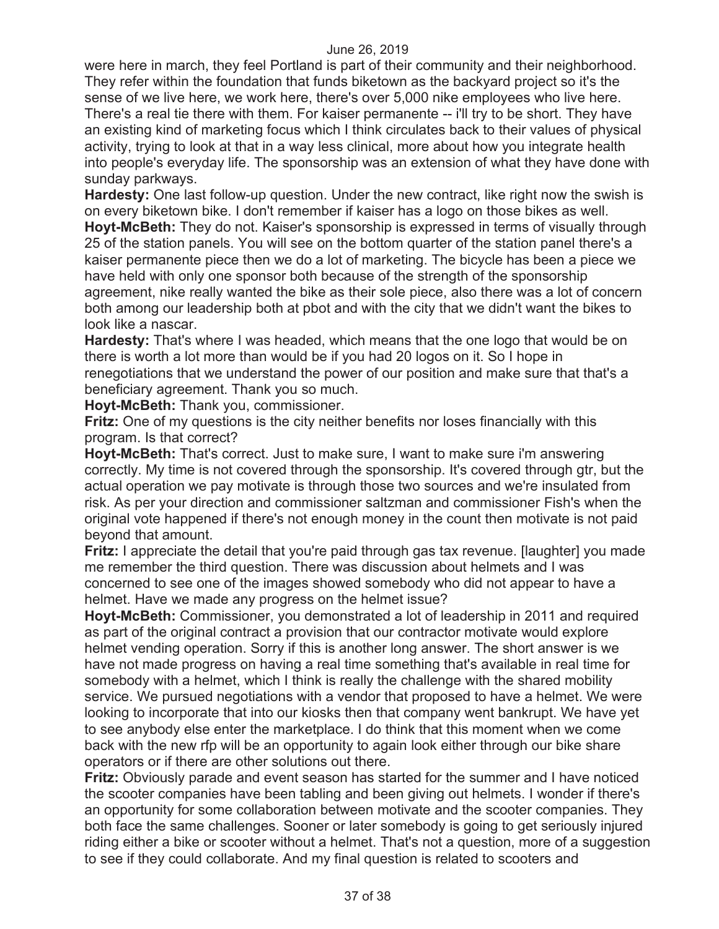were here in march, they feel Portland is part of their community and their neighborhood. They refer within the foundation that funds biketown as the backyard project so it's the sense of we live here, we work here, there's over 5,000 nike employees who live here. There's a real tie there with them. For kaiser permanente -- i'll try to be short. They have an existing kind of marketing focus which I think circulates back to their values of physical activity, trying to look at that in a way less clinical, more about how you integrate health into people's everyday life. The sponsorship was an extension of what they have done with sunday parkways.

**Hardesty:** One last follow-up question. Under the new contract, like right now the swish is on every biketown bike. I don't remember if kaiser has a logo on those bikes as well. **Hoyt-McBeth:** They do not. Kaiser's sponsorship is expressed in terms of visually through 25 of the station panels. You will see on the bottom quarter of the station panel there's a kaiser permanente piece then we do a lot of marketing. The bicycle has been a piece we have held with only one sponsor both because of the strength of the sponsorship agreement, nike really wanted the bike as their sole piece, also there was a lot of concern both among our leadership both at pbot and with the city that we didn't want the bikes to look like a nascar.

**Hardesty:** That's where I was headed, which means that the one logo that would be on there is worth a lot more than would be if you had 20 logos on it. So I hope in renegotiations that we understand the power of our position and make sure that that's a beneficiary agreement. Thank you so much.

**Hoyt-McBeth:** Thank you, commissioner.

**Fritz:** One of my questions is the city neither benefits nor loses financially with this program. Is that correct?

**Hoyt-McBeth:** That's correct. Just to make sure, I want to make sure i'm answering correctly. My time is not covered through the sponsorship. It's covered through gtr, but the actual operation we pay motivate is through those two sources and we're insulated from risk. As per your direction and commissioner saltzman and commissioner Fish's when the original vote happened if there's not enough money in the count then motivate is not paid beyond that amount.

**Fritz:** I appreciate the detail that you're paid through gas tax revenue. [laughter] you made me remember the third question. There was discussion about helmets and I was concerned to see one of the images showed somebody who did not appear to have a helmet. Have we made any progress on the helmet issue?

**Hoyt-McBeth:** Commissioner, you demonstrated a lot of leadership in 2011 and required as part of the original contract a provision that our contractor motivate would explore helmet vending operation. Sorry if this is another long answer. The short answer is we have not made progress on having a real time something that's available in real time for somebody with a helmet, which I think is really the challenge with the shared mobility service. We pursued negotiations with a vendor that proposed to have a helmet. We were looking to incorporate that into our kiosks then that company went bankrupt. We have yet to see anybody else enter the marketplace. I do think that this moment when we come back with the new rfp will be an opportunity to again look either through our bike share operators or if there are other solutions out there.

**Fritz:** Obviously parade and event season has started for the summer and I have noticed the scooter companies have been tabling and been giving out helmets. I wonder if there's an opportunity for some collaboration between motivate and the scooter companies. They both face the same challenges. Sooner or later somebody is going to get seriously injured riding either a bike or scooter without a helmet. That's not a question, more of a suggestion to see if they could collaborate. And my final question is related to scooters and